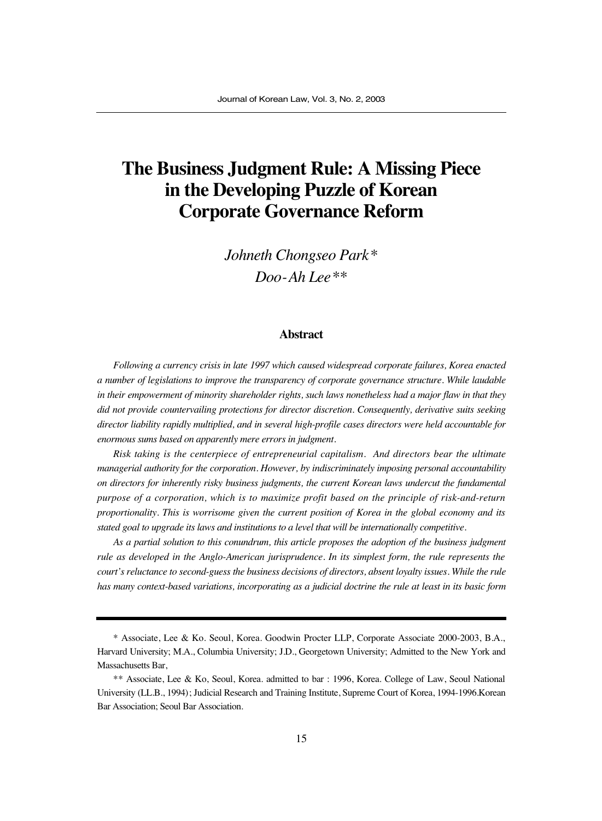# **The Business Judgment Rule: A Missing Piece in the Developing Puzzle of Korean Corporate Governance Reform**

*Johneth Chongseo Park\* Doo-Ah Lee\*\**

#### **Abstract**

*Following a currency crisis in late 1997 which caused widespread corporate failures, Korea enacted a number of legislations to improve the transparency of corporate governance structure. While laudable in their empowerment of minority shareholder rights, such laws nonetheless had a major flaw in that they did not provide countervailing protections for director discretion. Consequently, derivative suits seeking director liability rapidly multiplied, and in several high-profile cases directors were held accountable for enormous sums based on apparently mere errors in judgment.*

*Risk taking is the centerpiece of entrepreneurial capitalism. And directors bear the ultimate managerial authority for the corporation. However, by indiscriminately imposing personal accountability on directors for inherently risky business judgments, the current Korean laws undercut the fundamental purpose of a corporation, which is to maximize profit based on the principle of risk-and-return proportionality. This is worrisome given the current position of Korea in the global economy and its stated goal to upgrade its laws and institutions to a level that will be internationally competitive.*

*As a partial solution to this conundrum, this article proposes the adoption of the business judgment rule as developed in the Anglo-American jurisprudence. In its simplest form, the rule represents the court's reluctance to second-guess the business decisions of directors, absent loyalty issues. While the rule has many context-based variations, incorporating as a judicial doctrine the rule at least in its basic form*

<sup>\*</sup> Associate, Lee & Ko. Seoul, Korea. Goodwin Procter LLP, Corporate Associate 2000-2003, B.A., Harvard University; M.A., Columbia University; J.D., Georgetown University; Admitted to the New York and Massachusetts Bar,

<sup>\*\*</sup> Associate, Lee & Ko, Seoul, Korea. admitted to bar : 1996, Korea. College of Law, Seoul National University (LL.B., 1994); Judicial Research and Training Institute, Supreme Court of Korea, 1994-1996.Korean Bar Association; Seoul Bar Association.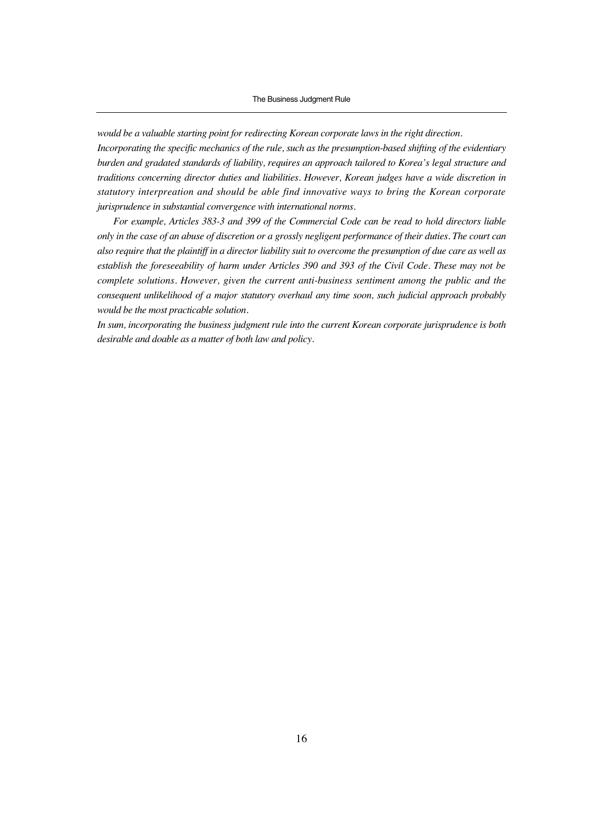*would be a valuable starting point for redirecting Korean corporate laws in the right direction.*

*Incorporating the specific mechanics of the rule, such as the presumption-based shifting of the evidentiary burden and gradated standards of liability, requires an approach tailored to Korea's legal structure and traditions concerning director duties and liabilities. However, Korean judges have a wide discretion in statutory interpreation and should be able find innovative ways to bring the Korean corporate jurisprudence in substantial convergence with international norms.*

*For example, Articles 383-3 and 399 of the Commercial Code can be read to hold directors liable only in the case of an abuse of discretion or a grossly negligent performance of their duties. The court can also require that the plaintiff in a director liability suit to overcome the presumption of due care as well as establish the foreseeability of harm under Articles 390 and 393 of the Civil Code. These may not be complete solutions. However, given the current anti-business sentiment among the public and the consequent unlikelihood of a major statutory overhaul any time soon, such judicial approach probably would be the most practicable solution.* 

*In sum, incorporating the business judgment rule into the current Korean corporate jurisprudence is both desirable and doable as a matter of both law and policy.*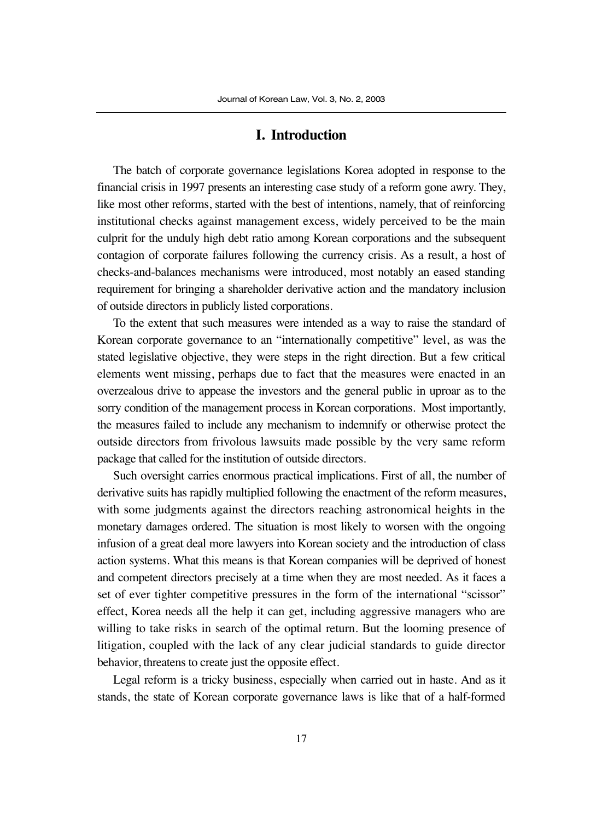#### **I. Introduction**

The batch of corporate governance legislations Korea adopted in response to the financial crisis in 1997 presents an interesting case study of a reform gone awry. They, like most other reforms, started with the best of intentions, namely, that of reinforcing institutional checks against management excess, widely perceived to be the main culprit for the unduly high debt ratio among Korean corporations and the subsequent contagion of corporate failures following the currency crisis. As a result, a host of checks-and-balances mechanisms were introduced, most notably an eased standing requirement for bringing a shareholder derivative action and the mandatory inclusion of outside directors in publicly listed corporations.

To the extent that such measures were intended as a way to raise the standard of Korean corporate governance to an "internationally competitive" level, as was the stated legislative objective, they were steps in the right direction. But a few critical elements went missing, perhaps due to fact that the measures were enacted in an overzealous drive to appease the investors and the general public in uproar as to the sorry condition of the management process in Korean corporations. Most importantly, the measures failed to include any mechanism to indemnify or otherwise protect the outside directors from frivolous lawsuits made possible by the very same reform package that called for the institution of outside directors.

Such oversight carries enormous practical implications. First of all, the number of derivative suits has rapidly multiplied following the enactment of the reform measures, with some judgments against the directors reaching astronomical heights in the monetary damages ordered. The situation is most likely to worsen with the ongoing infusion of a great deal more lawyers into Korean society and the introduction of class action systems. What this means is that Korean companies will be deprived of honest and competent directors precisely at a time when they are most needed. As it faces a set of ever tighter competitive pressures in the form of the international "scissor" effect, Korea needs all the help it can get, including aggressive managers who are willing to take risks in search of the optimal return. But the looming presence of litigation, coupled with the lack of any clear judicial standards to guide director behavior, threatens to create just the opposite effect.

Legal reform is a tricky business, especially when carried out in haste. And as it stands, the state of Korean corporate governance laws is like that of a half-formed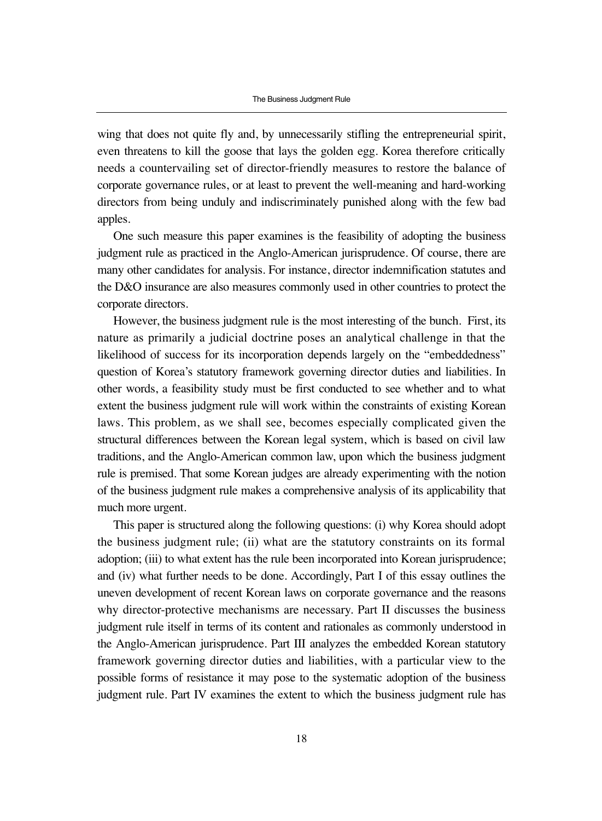wing that does not quite fly and, by unnecessarily stifling the entrepreneurial spirit, even threatens to kill the goose that lays the golden egg. Korea therefore critically needs a countervailing set of director-friendly measures to restore the balance of corporate governance rules, or at least to prevent the well-meaning and hard-working directors from being unduly and indiscriminately punished along with the few bad apples.

One such measure this paper examines is the feasibility of adopting the business judgment rule as practiced in the Anglo-American jurisprudence. Of course, there are many other candidates for analysis. For instance, director indemnification statutes and the D&O insurance are also measures commonly used in other countries to protect the corporate directors.

However, the business judgment rule is the most interesting of the bunch. First, its nature as primarily a judicial doctrine poses an analytical challenge in that the likelihood of success for its incorporation depends largely on the "embeddedness" question of Korea's statutory framework governing director duties and liabilities. In other words, a feasibility study must be first conducted to see whether and to what extent the business judgment rule will work within the constraints of existing Korean laws. This problem, as we shall see, becomes especially complicated given the structural differences between the Korean legal system, which is based on civil law traditions, and the Anglo-American common law, upon which the business judgment rule is premised. That some Korean judges are already experimenting with the notion of the business judgment rule makes a comprehensive analysis of its applicability that much more urgent.

This paper is structured along the following questions: (i) why Korea should adopt the business judgment rule; (ii) what are the statutory constraints on its formal adoption; (iii) to what extent has the rule been incorporated into Korean jurisprudence; and (iv) what further needs to be done. Accordingly, Part I of this essay outlines the uneven development of recent Korean laws on corporate governance and the reasons why director-protective mechanisms are necessary. Part II discusses the business judgment rule itself in terms of its content and rationales as commonly understood in the Anglo-American jurisprudence. Part III analyzes the embedded Korean statutory framework governing director duties and liabilities, with a particular view to the possible forms of resistance it may pose to the systematic adoption of the business judgment rule. Part IV examines the extent to which the business judgment rule has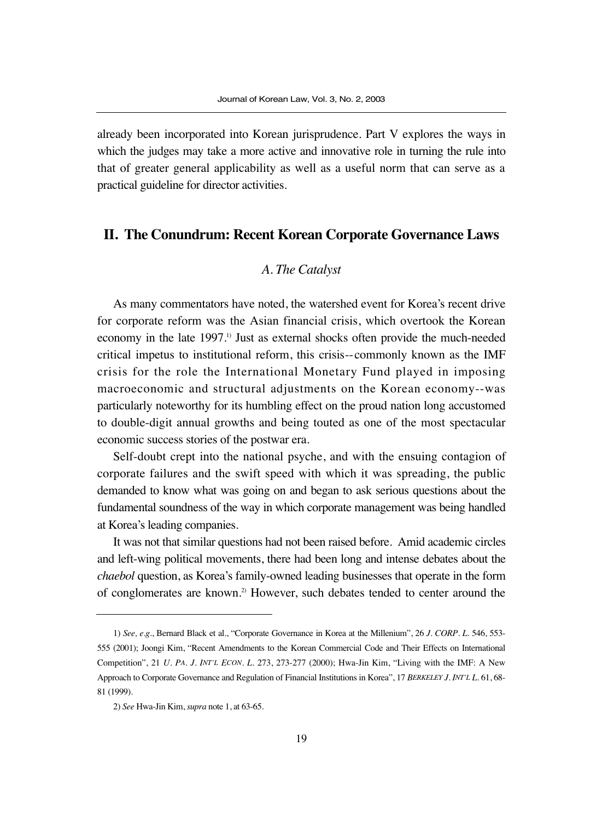already been incorporated into Korean jurisprudence. Part V explores the ways in which the judges may take a more active and innovative role in turning the rule into that of greater general applicability as well as a useful norm that can serve as a practical guideline for director activities.

# **II. The Conundrum: Recent Korean Corporate Governance Laws**

### *A. The Catalyst*

As many commentators have noted, the watershed event for Korea's recent drive for corporate reform was the Asian financial crisis, which overtook the Korean economy in the late 1997.<sup>1)</sup> Just as external shocks often provide the much-needed critical impetus to institutional reform, this crisis--commonly known as the IMF crisis for the role the International Monetary Fund played in imposing macroeconomic and structural adjustments on the Korean economy--was particularly noteworthy for its humbling effect on the proud nation long accustomed to double-digit annual growths and being touted as one of the most spectacular economic success stories of the postwar era.

Self-doubt crept into the national psyche, and with the ensuing contagion of corporate failures and the swift speed with which it was spreading, the public demanded to know what was going on and began to ask serious questions about the fundamental soundness of the way in which corporate management was being handled at Korea's leading companies.

It was not that similar questions had not been raised before. Amid academic circles and left-wing political movements, there had been long and intense debates about the *chaebol* question, as Korea's family-owned leading businesses that operate in the form of conglomerates are known.2) However, such debates tended to center around the

<sup>1)</sup> *See, e.g*., Bernard Black et al., "Corporate Governance in Korea at the Millenium", 26 *J. CORP. L*. 546, 553- 555 (2001); Joongi Kim, "Recent Amendments to the Korean Commercial Code and Their Effects on International Competition", 21 *U. PA. J. INT'L ECON. L*. 273, 273-277 (2000); Hwa-Jin Kim, "Living with the IMF: A New Approach to Corporate Governance and Regulation of Financial Institutions in Korea", 17 *BERKELEY J. INT'L L*. 61, 68- 81 (1999).

<sup>2)</sup> *See* Hwa-Jin Kim, *supra* note 1, at 63-65.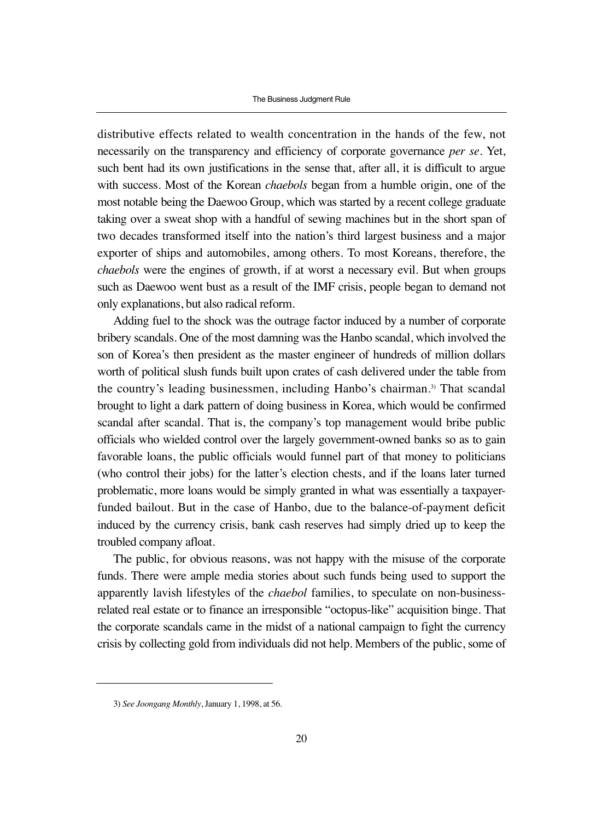distributive effects related to wealth concentration in the hands of the few, not necessarily on the transparency and efficiency of corporate governance *per se*. Yet, such bent had its own justifications in the sense that, after all, it is difficult to argue with success. Most of the Korean *chaebols* began from a humble origin, one of the most notable being the Daewoo Group, which was started by a recent college graduate taking over a sweat shop with a handful of sewing machines but in the short span of two decades transformed itself into the nation's third largest business and a major exporter of ships and automobiles, among others. To most Koreans, therefore, the *chaebols* were the engines of growth, if at worst a necessary evil. But when groups such as Daewoo went bust as a result of the IMF crisis, people began to demand not only explanations, but also radical reform.

Adding fuel to the shock was the outrage factor induced by a number of corporate bribery scandals. One of the most damning was the Hanbo scandal, which involved the son of Korea's then president as the master engineer of hundreds of million dollars worth of political slush funds built upon crates of cash delivered under the table from the country's leading businessmen, including Hanbo's chairman.<sup>3)</sup> That scandal brought to light a dark pattern of doing business in Korea, which would be confirmed scandal after scandal. That is, the company's top management would bribe public officials who wielded control over the largely government-owned banks so as to gain favorable loans, the public officials would funnel part of that money to politicians (who control their jobs) for the latter's election chests, and if the loans later turned problematic, more loans would be simply granted in what was essentially a taxpayerfunded bailout. But in the case of Hanbo, due to the balance-of-payment deficit induced by the currency crisis, bank cash reserves had simply dried up to keep the troubled company afloat.

The public, for obvious reasons, was not happy with the misuse of the corporate funds. There were ample media stories about such funds being used to support the apparently lavish lifestyles of the *chaebol* families, to speculate on non-businessrelated real estate or to finance an irresponsible "octopus-like" acquisition binge. That the corporate scandals came in the midst of a national campaign to fight the currency crisis by collecting gold from individuals did not help. Members of the public, some of

<sup>3)</sup> *See Joongang Monthly*, January 1, 1998, at 56.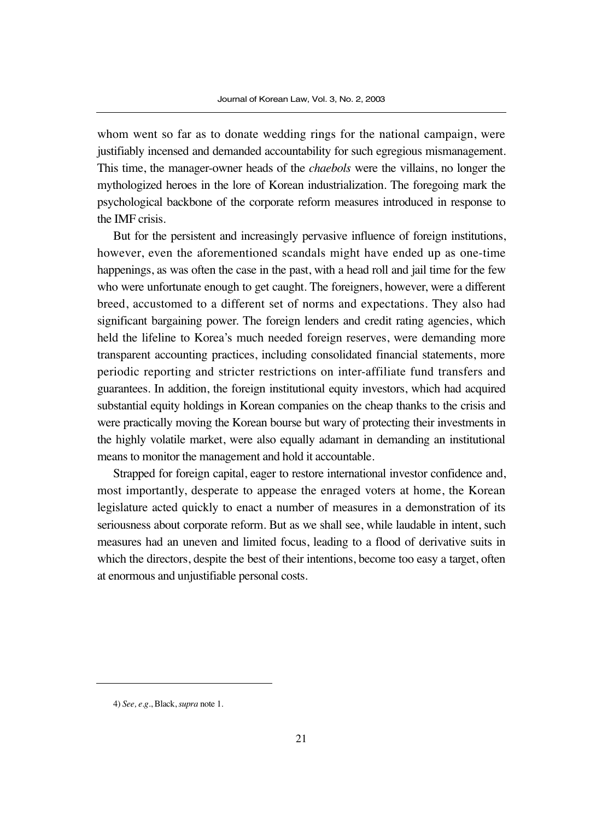whom went so far as to donate wedding rings for the national campaign, were justifiably incensed and demanded accountability for such egregious mismanagement. This time, the manager-owner heads of the *chaebols* were the villains, no longer the mythologized heroes in the lore of Korean industrialization. The foregoing mark the psychological backbone of the corporate reform measures introduced in response to the IMF crisis.

But for the persistent and increasingly pervasive influence of foreign institutions, however, even the aforementioned scandals might have ended up as one-time happenings, as was often the case in the past, with a head roll and jail time for the few who were unfortunate enough to get caught. The foreigners, however, were a different breed, accustomed to a different set of norms and expectations. They also had significant bargaining power. The foreign lenders and credit rating agencies, which held the lifeline to Korea's much needed foreign reserves, were demanding more transparent accounting practices, including consolidated financial statements, more periodic reporting and stricter restrictions on inter-affiliate fund transfers and guarantees. In addition, the foreign institutional equity investors, which had acquired substantial equity holdings in Korean companies on the cheap thanks to the crisis and were practically moving the Korean bourse but wary of protecting their investments in the highly volatile market, were also equally adamant in demanding an institutional means to monitor the management and hold it accountable.

Strapped for foreign capital, eager to restore international investor confidence and, most importantly, desperate to appease the enraged voters at home, the Korean legislature acted quickly to enact a number of measures in a demonstration of its seriousness about corporate reform. But as we shall see, while laudable in intent, such measures had an uneven and limited focus, leading to a flood of derivative suits in which the directors, despite the best of their intentions, become too easy a target, often at enormous and unjustifiable personal costs.

<sup>4)</sup> *See, e.g*., Black, *supra* note 1.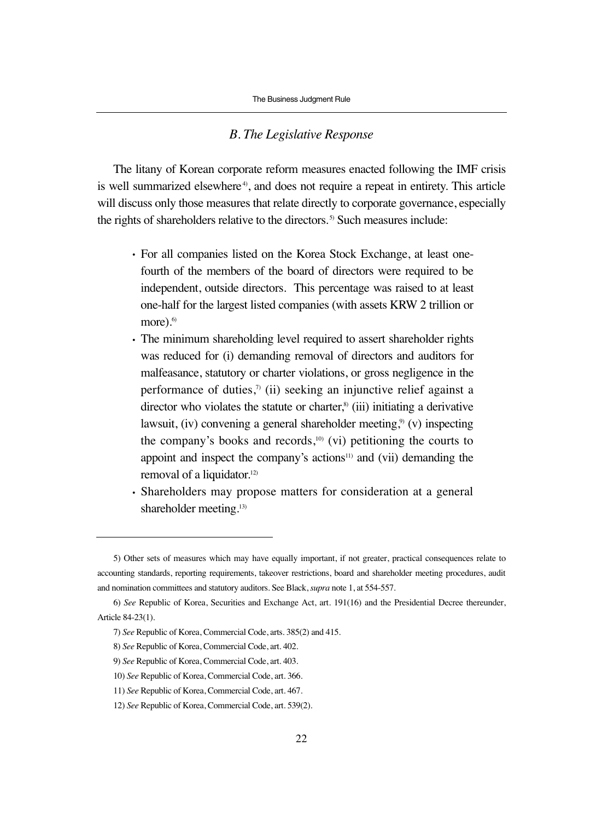#### *B. The Legislative Response*

The litany of Korean corporate reform measures enacted following the IMF crisis is well summarized elsewhere<sup>4</sup>, and does not require a repeat in entirety. This article will discuss only those measures that relate directly to corporate governance, especially the rights of shareholders relative to the directors.<sup>5)</sup> Such measures include:

- For all companies listed on the Korea Stock Exchange, at least onefourth of the members of the board of directors were required to be independent, outside directors. This percentage was raised to at least one-half for the largest listed companies (with assets KRW 2 trillion or more).<sup>6)</sup>
- The minimum shareholding level required to assert shareholder rights was reduced for (i) demanding removal of directors and auditors for malfeasance, statutory or charter violations, or gross negligence in the performance of duties,<sup> $\tau$ </sup> (ii) seeking an injunctive relief against a director who violates the statute or charter, $\frac{8}{3}$  (iii) initiating a derivative lawsuit, (iv) convening a general shareholder meeting,<sup>9)</sup> (v) inspecting the company's books and records, $^{10}$  (vi) petitioning the courts to appoint and inspect the company's actions<sup>11)</sup> and (vii) demanding the removal of a liquidator.<sup>12)</sup>
- Shareholders may propose matters for consideration at a general shareholder meeting.<sup>13)</sup>

<sup>5)</sup> Other sets of measures which may have equally important, if not greater, practical consequences relate to accounting standards, reporting requirements, takeover restrictions, board and shareholder meeting procedures, audit and nomination committees and statutory auditors. See Black, *supra* note 1, at 554-557.

<sup>6)</sup> *See* Republic of Korea, Securities and Exchange Act, art. 191(16) and the Presidential Decree thereunder, Article 84-23(1).

<sup>7)</sup> *See* Republic of Korea, Commercial Code, arts. 385(2) and 415.

<sup>8)</sup> *See* Republic of Korea, Commercial Code, art. 402.

<sup>9)</sup> *See* Republic of Korea, Commercial Code, art. 403.

<sup>10)</sup> *See* Republic of Korea, Commercial Code, art. 366.

<sup>11)</sup> *See* Republic of Korea, Commercial Code, art. 467.

<sup>12)</sup> *See* Republic of Korea, Commercial Code, art. 539(2).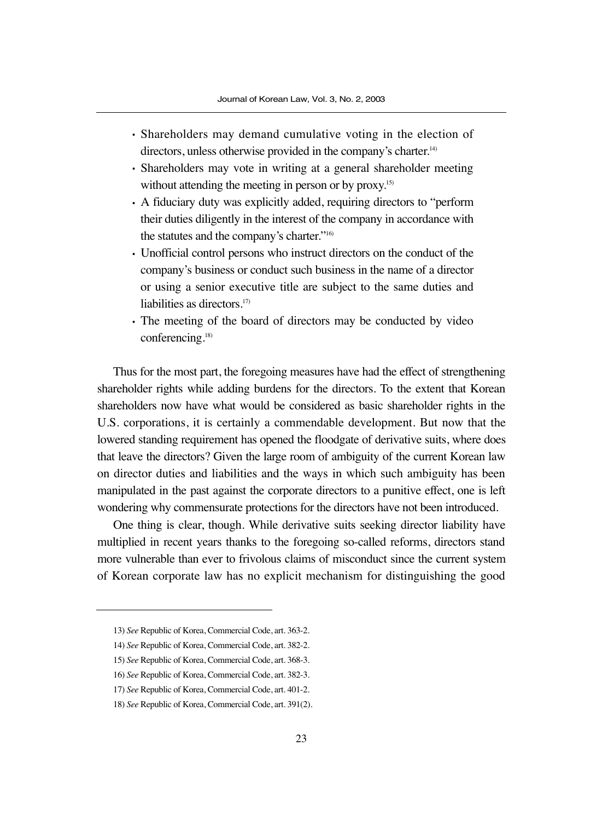- Shareholders may demand cumulative voting in the election of directors, unless otherwise provided in the company's charter.<sup>14)</sup>
- Shareholders may vote in writing at a general shareholder meeting without attending the meeting in person or by proxy.<sup>15)</sup>
- A fiduciary duty was explicitly added, requiring directors to "perform their duties diligently in the interest of the company in accordance with the statutes and the company's charter."16)
- Unofficial control persons who instruct directors on the conduct of the company's business or conduct such business in the name of a director or using a senior executive title are subject to the same duties and liabilities as directors.<sup>17)</sup>
- The meeting of the board of directors may be conducted by video conferencing.<sup>18)</sup>

Thus for the most part, the foregoing measures have had the effect of strengthening shareholder rights while adding burdens for the directors. To the extent that Korean shareholders now have what would be considered as basic shareholder rights in the U.S. corporations, it is certainly a commendable development. But now that the lowered standing requirement has opened the floodgate of derivative suits, where does that leave the directors? Given the large room of ambiguity of the current Korean law on director duties and liabilities and the ways in which such ambiguity has been manipulated in the past against the corporate directors to a punitive effect, one is left wondering why commensurate protections for the directors have not been introduced.

One thing is clear, though. While derivative suits seeking director liability have multiplied in recent years thanks to the foregoing so-called reforms, directors stand more vulnerable than ever to frivolous claims of misconduct since the current system of Korean corporate law has no explicit mechanism for distinguishing the good

<sup>13)</sup> *See* Republic of Korea, Commercial Code, art. 363-2.

<sup>14)</sup> *See* Republic of Korea, Commercial Code, art. 382-2.

<sup>15)</sup> *See* Republic of Korea, Commercial Code, art. 368-3.

<sup>16)</sup> *See* Republic of Korea, Commercial Code, art. 382-3.

<sup>17)</sup> *See* Republic of Korea, Commercial Code, art. 401-2.

<sup>18)</sup> *See* Republic of Korea, Commercial Code, art. 391(2).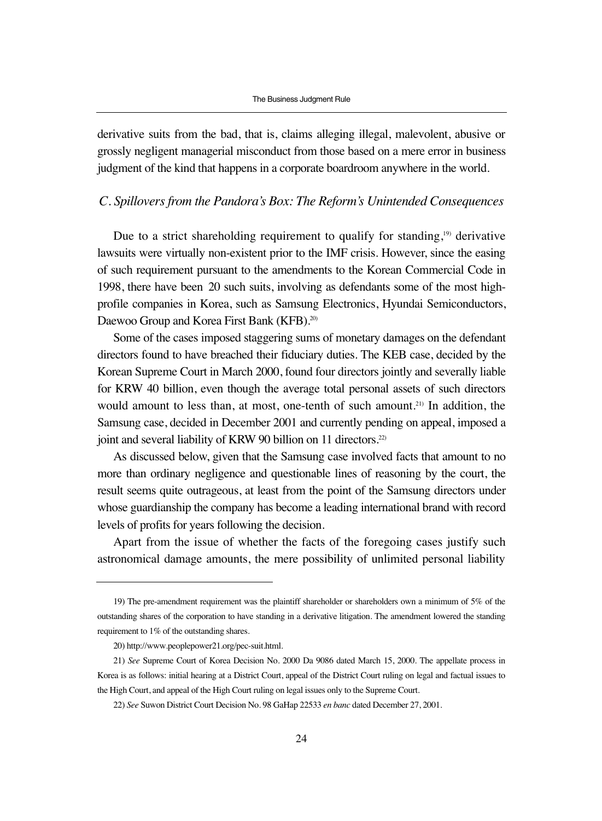derivative suits from the bad, that is, claims alleging illegal, malevolent, abusive or grossly negligent managerial misconduct from those based on a mere error in business judgment of the kind that happens in a corporate boardroom anywhere in the world.

#### *C. Spillovers from the Pandora's Box: The Reform's Unintended Consequences*

Due to a strict shareholding requirement to qualify for standing,<sup>19)</sup> derivative lawsuits were virtually non-existent prior to the IMF crisis. However, since the easing of such requirement pursuant to the amendments to the Korean Commercial Code in 1998, there have been 20 such suits, involving as defendants some of the most highprofile companies in Korea, such as Samsung Electronics, Hyundai Semiconductors, Daewoo Group and Korea First Bank (KFB).<sup>20)</sup>

Some of the cases imposed staggering sums of monetary damages on the defendant directors found to have breached their fiduciary duties. The KEB case, decided by the Korean Supreme Court in March 2000, found four directors jointly and severally liable for KRW 40 billion, even though the average total personal assets of such directors would amount to less than, at most, one-tenth of such amount.<sup>21)</sup> In addition, the Samsung case, decided in December 2001 and currently pending on appeal, imposed a joint and several liability of KRW 90 billion on 11 directors.<sup>22)</sup>

As discussed below, given that the Samsung case involved facts that amount to no more than ordinary negligence and questionable lines of reasoning by the court, the result seems quite outrageous, at least from the point of the Samsung directors under whose guardianship the company has become a leading international brand with record levels of profits for years following the decision.

Apart from the issue of whether the facts of the foregoing cases justify such astronomical damage amounts, the mere possibility of unlimited personal liability

<sup>19)</sup> The pre-amendment requirement was the plaintiff shareholder or shareholders own a minimum of 5% of the outstanding shares of the corporation to have standing in a derivative litigation. The amendment lowered the standing requirement to 1% of the outstanding shares.

<sup>20)</sup> http://www.peoplepower21.org/pec-suit.html.

<sup>21)</sup> *See* Supreme Court of Korea Decision No. 2000 Da 9086 dated March 15, 2000. The appellate process in Korea is as follows: initial hearing at a District Court, appeal of the District Court ruling on legal and factual issues to the High Court, and appeal of the High Court ruling on legal issues only to the Supreme Court.

<sup>22)</sup> *See* Suwon District Court Decision No. 98 GaHap 22533 *en banc* dated December 27, 2001.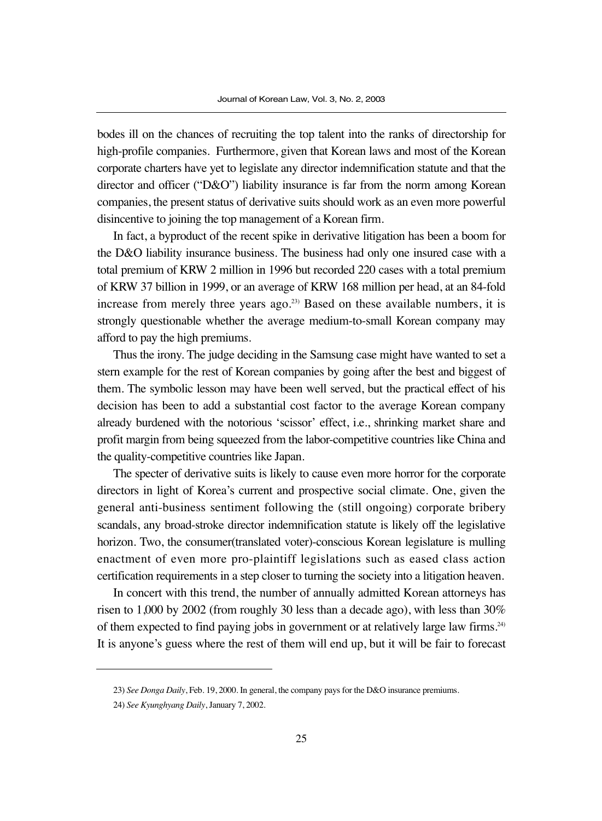bodes ill on the chances of recruiting the top talent into the ranks of directorship for high-profile companies. Furthermore, given that Korean laws and most of the Korean corporate charters have yet to legislate any director indemnification statute and that the director and officer ("D&O") liability insurance is far from the norm among Korean companies, the present status of derivative suits should work as an even more powerful disincentive to joining the top management of a Korean firm.

In fact, a byproduct of the recent spike in derivative litigation has been a boom for the D&O liability insurance business. The business had only one insured case with a total premium of KRW 2 million in 1996 but recorded 220 cases with a total premium of KRW 37 billion in 1999, or an average of KRW 168 million per head, at an 84-fold increase from merely three years ago.<sup>23)</sup> Based on these available numbers, it is strongly questionable whether the average medium-to-small Korean company may afford to pay the high premiums.

Thus the irony. The judge deciding in the Samsung case might have wanted to set a stern example for the rest of Korean companies by going after the best and biggest of them. The symbolic lesson may have been well served, but the practical effect of his decision has been to add a substantial cost factor to the average Korean company already burdened with the notorious 'scissor' effect, i.e., shrinking market share and profit margin from being squeezed from the labor-competitive countries like China and the quality-competitive countries like Japan.

The specter of derivative suits is likely to cause even more horror for the corporate directors in light of Korea's current and prospective social climate. One, given the general anti-business sentiment following the (still ongoing) corporate bribery scandals, any broad-stroke director indemnification statute is likely off the legislative horizon. Two, the consumer(translated voter)-conscious Korean legislature is mulling enactment of even more pro-plaintiff legislations such as eased class action certification requirements in a step closer to turning the society into a litigation heaven.

In concert with this trend, the number of annually admitted Korean attorneys has risen to 1,000 by 2002 (from roughly 30 less than a decade ago), with less than 30% of them expected to find paying jobs in government or at relatively large law firms.24) It is anyone's guess where the rest of them will end up, but it will be fair to forecast

<sup>23)</sup> *See Donga Daily*, Feb. 19, 2000. In general, the company pays for the D&O insurance premiums.

<sup>24)</sup> *See Kyunghyang Daily*, January 7, 2002.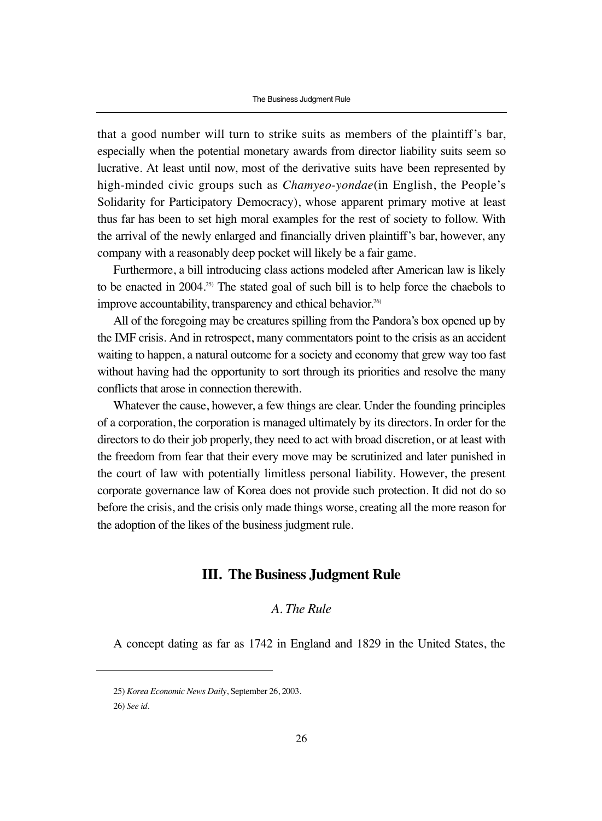that a good number will turn to strike suits as members of the plaintiff's bar, especially when the potential monetary awards from director liability suits seem so lucrative. At least until now, most of the derivative suits have been represented by high-minded civic groups such as *Chamyeo-yondae*(in English, the People's Solidarity for Participatory Democracy), whose apparent primary motive at least thus far has been to set high moral examples for the rest of society to follow. With the arrival of the newly enlarged and financially driven plaintiff's bar, however, any company with a reasonably deep pocket will likely be a fair game.

Furthermore, a bill introducing class actions modeled after American law is likely to be enacted in  $2004.^{25}$ . The stated goal of such bill is to help force the chaebols to improve accountability, transparency and ethical behavior.<sup>26)</sup>

All of the foregoing may be creatures spilling from the Pandora's box opened up by the IMF crisis. And in retrospect, many commentators point to the crisis as an accident waiting to happen, a natural outcome for a society and economy that grew way too fast without having had the opportunity to sort through its priorities and resolve the many conflicts that arose in connection therewith.

Whatever the cause, however, a few things are clear. Under the founding principles of a corporation, the corporation is managed ultimately by its directors. In order for the directors to do their job properly, they need to act with broad discretion, or at least with the freedom from fear that their every move may be scrutinized and later punished in the court of law with potentially limitless personal liability. However, the present corporate governance law of Korea does not provide such protection. It did not do so before the crisis, and the crisis only made things worse, creating all the more reason for the adoption of the likes of the business judgment rule.

### **III. The Business Judgment Rule**

### *A. The Rule*

A concept dating as far as 1742 in England and 1829 in the United States, the

<sup>25)</sup> *Korea Economic News Daily*, September 26, 2003.

<sup>26)</sup> *See id*.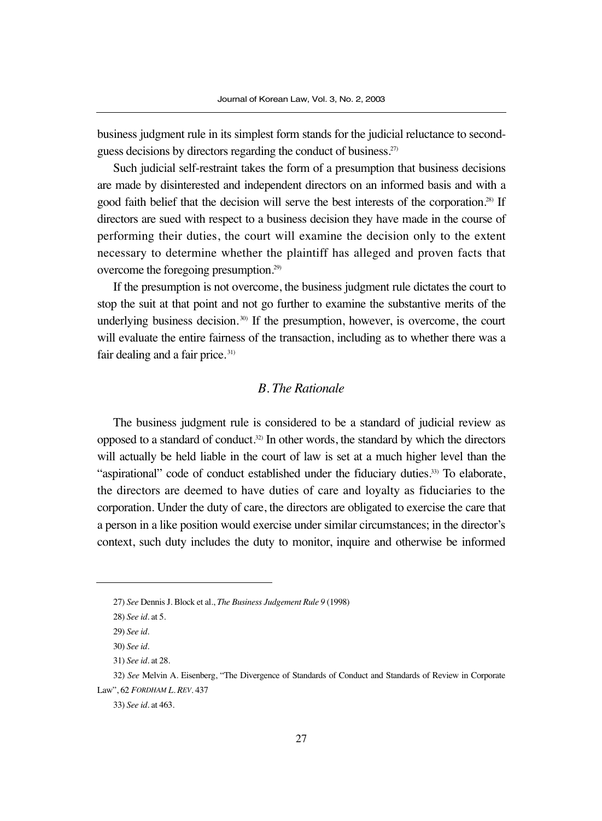business judgment rule in its simplest form stands for the judicial reluctance to secondguess decisions by directors regarding the conduct of business.27)

Such judicial self-restraint takes the form of a presumption that business decisions are made by disinterested and independent directors on an informed basis and with a good faith belief that the decision will serve the best interests of the corporation.28) If directors are sued with respect to a business decision they have made in the course of performing their duties, the court will examine the decision only to the extent necessary to determine whether the plaintiff has alleged and proven facts that overcome the foregoing presumption.29)

If the presumption is not overcome, the business judgment rule dictates the court to stop the suit at that point and not go further to examine the substantive merits of the underlying business decision.<sup>30)</sup> If the presumption, however, is overcome, the court will evaluate the entire fairness of the transaction, including as to whether there was a fair dealing and a fair price. 31)

### *B. The Rationale*

The business judgment rule is considered to be a standard of judicial review as opposed to a standard of conduct. $32$  In other words, the standard by which the directors will actually be held liable in the court of law is set at a much higher level than the "aspirational" code of conduct established under the fiduciary duties.33) To elaborate, the directors are deemed to have duties of care and loyalty as fiduciaries to the corporation. Under the duty of care, the directors are obligated to exercise the care that a person in a like position would exercise under similar circumstances; in the director's context, such duty includes the duty to monitor, inquire and otherwise be informed

<sup>27)</sup> *See* Dennis J. Block et al., *The Business Judgement Rule 9* (1998)

<sup>28)</sup> *See id*. at 5.

<sup>29)</sup> *See id*.

<sup>30)</sup> *See id*.

<sup>31)</sup> *See id*. at 28.

<sup>32)</sup> *See* Melvin A. Eisenberg, "The Divergence of Standards of Conduct and Standards of Review in Corporate Law", 62 *FORDHAM L. REV*. 437

<sup>33)</sup> *See id*. at 463.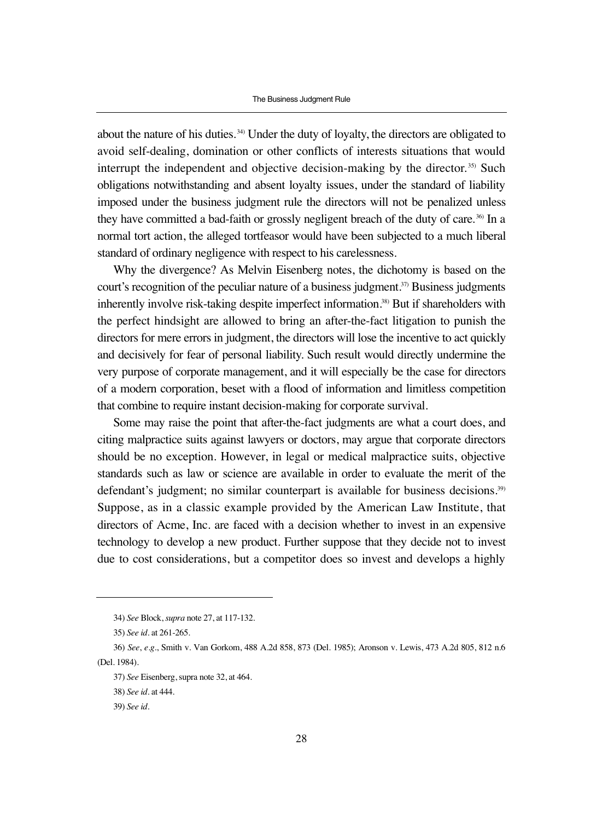about the nature of his duties. 34) Under the duty of loyalty, the directors are obligated to avoid self-dealing, domination or other conflicts of interests situations that would interrupt the independent and objective decision-making by the director. 35) Such obligations notwithstanding and absent loyalty issues, under the standard of liability imposed under the business judgment rule the directors will not be penalized unless they have committed a bad-faith or grossly negligent breach of the duty of care.<sup>36)</sup> In a normal tort action, the alleged tortfeasor would have been subjected to a much liberal standard of ordinary negligence with respect to his carelessness.

Why the divergence? As Melvin Eisenberg notes, the dichotomy is based on the court's recognition of the peculiar nature of a business judgment.<sup>37)</sup> Business judgments inherently involve risk-taking despite imperfect information.38) But if shareholders with the perfect hindsight are allowed to bring an after-the-fact litigation to punish the directors for mere errors in judgment, the directors will lose the incentive to act quickly and decisively for fear of personal liability. Such result would directly undermine the very purpose of corporate management, and it will especially be the case for directors of a modern corporation, beset with a flood of information and limitless competition that combine to require instant decision-making for corporate survival.

Some may raise the point that after-the-fact judgments are what a court does, and citing malpractice suits against lawyers or doctors, may argue that corporate directors should be no exception. However, in legal or medical malpractice suits, objective standards such as law or science are available in order to evaluate the merit of the defendant's judgment; no similar counterpart is available for business decisions.<sup>39)</sup> Suppose, as in a classic example provided by the American Law Institute, that directors of Acme, Inc. are faced with a decision whether to invest in an expensive technology to develop a new product. Further suppose that they decide not to invest due to cost considerations, but a competitor does so invest and develops a highly

<sup>34)</sup> *See* Block, *supra* note 27, at 117-132.

<sup>35)</sup> *See id*. at 261-265.

<sup>36)</sup> *See*, *e.g*., Smith v. Van Gorkom, 488 A.2d 858, 873 (Del. 1985); Aronson v. Lewis, 473 A.2d 805, 812 n.6 (Del. 1984).

<sup>37)</sup> *See* Eisenberg, supra note 32, at 464.

<sup>38)</sup> *See id*. at 444.

<sup>39)</sup> *See id*.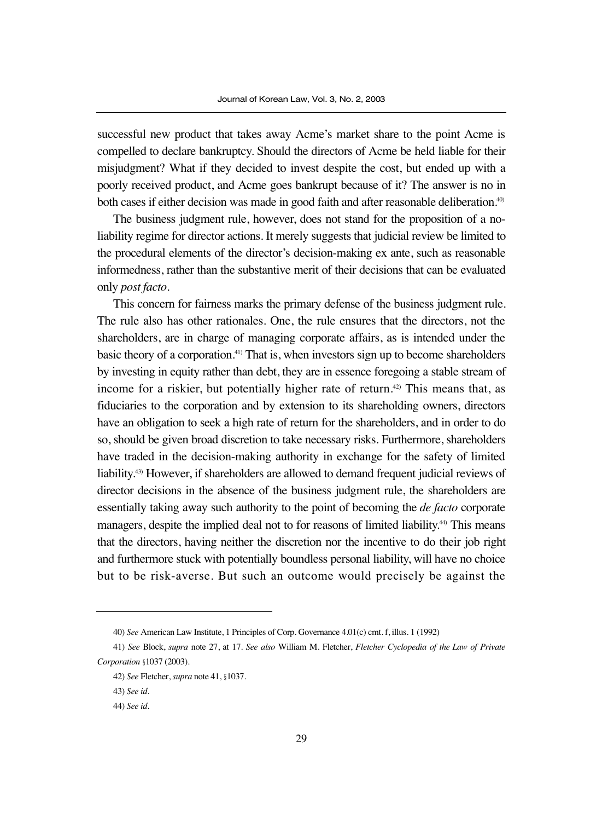successful new product that takes away Acme's market share to the point Acme is compelled to declare bankruptcy. Should the directors of Acme be held liable for their misjudgment? What if they decided to invest despite the cost, but ended up with a poorly received product, and Acme goes bankrupt because of it? The answer is no in both cases if either decision was made in good faith and after reasonable deliberation.<sup>40</sup>

The business judgment rule, however, does not stand for the proposition of a noliability regime for director actions. It merely suggests that judicial review be limited to the procedural elements of the director's decision-making ex ante, such as reasonable informedness, rather than the substantive merit of their decisions that can be evaluated only *post facto*.

This concern for fairness marks the primary defense of the business judgment rule. The rule also has other rationales. One, the rule ensures that the directors, not the shareholders, are in charge of managing corporate affairs, as is intended under the basic theory of a corporation.<sup>41)</sup> That is, when investors sign up to become shareholders by investing in equity rather than debt, they are in essence foregoing a stable stream of income for a riskier, but potentially higher rate of return.<sup> $42)$ </sup> This means that, as fiduciaries to the corporation and by extension to its shareholding owners, directors have an obligation to seek a high rate of return for the shareholders, and in order to do so, should be given broad discretion to take necessary risks. Furthermore, shareholders have traded in the decision-making authority in exchange for the safety of limited liability.43) However, if shareholders are allowed to demand frequent judicial reviews of director decisions in the absence of the business judgment rule, the shareholders are essentially taking away such authority to the point of becoming the *de facto* corporate managers, despite the implied deal not to for reasons of limited liability.<sup>44)</sup> This means that the directors, having neither the discretion nor the incentive to do their job right and furthermore stuck with potentially boundless personal liability, will have no choice but to be risk-averse. But such an outcome would precisely be against the

<sup>40)</sup> *See* American Law Institute, 1 Principles of Corp. Governance 4.01(c) cmt. f, illus. 1 (1992)

<sup>41)</sup> *See* Block, *supra* note 27, at 17. *See also* William M. Fletcher, *Fletcher Cyclopedia of the Law of Private Corporation* §1037 (2003).

<sup>42)</sup> *See* Fletcher, *supra* note 41, §1037.

<sup>43)</sup> *See id*.

<sup>44)</sup> *See id*.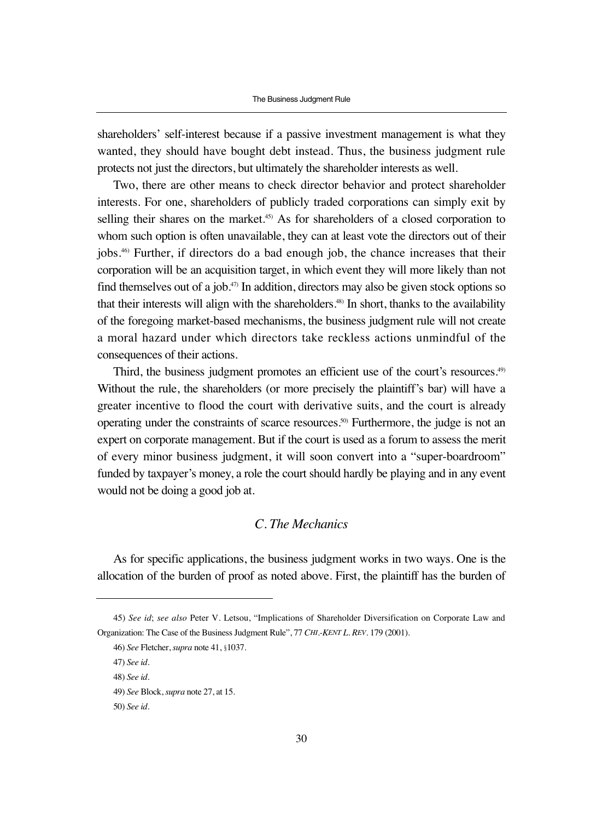shareholders' self-interest because if a passive investment management is what they wanted, they should have bought debt instead. Thus, the business judgment rule protects not just the directors, but ultimately the shareholder interests as well.

Two, there are other means to check director behavior and protect shareholder interests. For one, shareholders of publicly traded corporations can simply exit by selling their shares on the market.<sup>45)</sup> As for shareholders of a closed corporation to whom such option is often unavailable, they can at least vote the directors out of their jobs.46) Further, if directors do a bad enough job, the chance increases that their corporation will be an acquisition target, in which event they will more likely than not find themselves out of a job.<sup> $47$ </sup> In addition, directors may also be given stock options so that their interests will align with the shareholders.<sup>48)</sup> In short, thanks to the availability of the foregoing market-based mechanisms, the business judgment rule will not create a moral hazard under which directors take reckless actions unmindful of the consequences of their actions.

Third, the business judgment promotes an efficient use of the court's resources.<sup>49)</sup> Without the rule, the shareholders (or more precisely the plaintiff's bar) will have a greater incentive to flood the court with derivative suits, and the court is already operating under the constraints of scarce resources.50) Furthermore, the judge is not an expert on corporate management. But if the court is used as a forum to assess the merit of every minor business judgment, it will soon convert into a "super-boardroom" funded by taxpayer's money, a role the court should hardly be playing and in any event would not be doing a good job at.

## *C. The Mechanics*

As for specific applications, the business judgment works in two ways. One is the allocation of the burden of proof as noted above. First, the plaintiff has the burden of

<sup>45)</sup> *See id*; *see also* Peter V. Letsou, "Implications of Shareholder Diversification on Corporate Law and Organization: The Case of the Business Judgment Rule", 77 *CHI.-KENT L. REV*. 179 (2001).

<sup>46)</sup> *See* Fletcher, *supra* note 41, §1037.

<sup>47)</sup> *See id*.

<sup>48)</sup> *See id*.

<sup>49)</sup> *See* Block, *supra* note 27, at 15.

<sup>50)</sup> *See id*.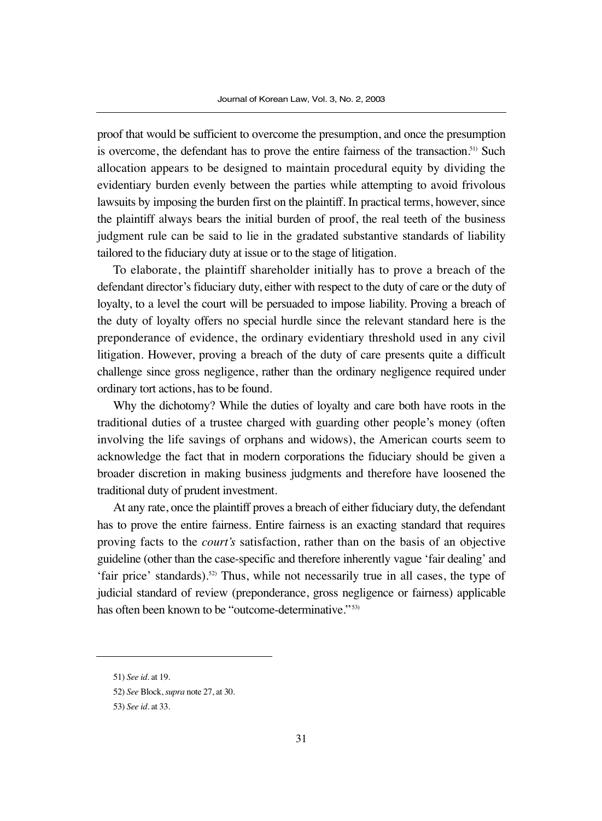proof that would be sufficient to overcome the presumption, and once the presumption is overcome, the defendant has to prove the entire fairness of the transaction.<sup>51)</sup> Such allocation appears to be designed to maintain procedural equity by dividing the evidentiary burden evenly between the parties while attempting to avoid frivolous lawsuits by imposing the burden first on the plaintiff. In practical terms, however, since the plaintiff always bears the initial burden of proof, the real teeth of the business judgment rule can be said to lie in the gradated substantive standards of liability tailored to the fiduciary duty at issue or to the stage of litigation.

To elaborate, the plaintiff shareholder initially has to prove a breach of the defendant director's fiduciary duty, either with respect to the duty of care or the duty of loyalty, to a level the court will be persuaded to impose liability. Proving a breach of the duty of loyalty offers no special hurdle since the relevant standard here is the preponderance of evidence, the ordinary evidentiary threshold used in any civil litigation. However, proving a breach of the duty of care presents quite a difficult challenge since gross negligence, rather than the ordinary negligence required under ordinary tort actions, has to be found.

Why the dichotomy? While the duties of loyalty and care both have roots in the traditional duties of a trustee charged with guarding other people's money (often involving the life savings of orphans and widows), the American courts seem to acknowledge the fact that in modern corporations the fiduciary should be given a broader discretion in making business judgments and therefore have loosened the traditional duty of prudent investment.

At any rate, once the plaintiff proves a breach of either fiduciary duty, the defendant has to prove the entire fairness. Entire fairness is an exacting standard that requires proving facts to the *court's* satisfaction, rather than on the basis of an objective guideline (other than the case-specific and therefore inherently vague 'fair dealing' and 'fair price' standards).52) Thus, while not necessarily true in all cases, the type of judicial standard of review (preponderance, gross negligence or fairness) applicable has often been known to be "outcome-determinative."<sup>53)</sup>

<sup>51)</sup> *See id*. at 19.

<sup>52)</sup> *See* Block, *supra* note 27, at 30.

<sup>53)</sup> *See id*. at 33.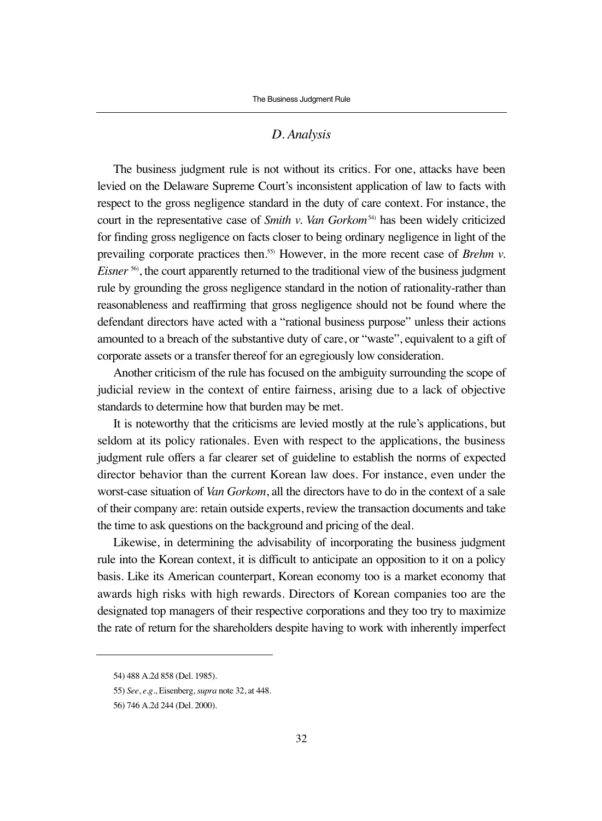#### *D. Analysis*

The business judgment rule is not without its critics. For one, attacks have been levied on the Delaware Supreme Court's inconsistent application of law to facts with respect to the gross negligence standard in the duty of care context. For instance, the court in the representative case of *Smith v. Van Gorkom*<sup>54)</sup> has been widely criticized for finding gross negligence on facts closer to being ordinary negligence in light of the prevailing corporate practices then.55) However, in the more recent case of *Brehm v. Eisner*<sup>56</sup>, the court apparently returned to the traditional view of the business judgment rule by grounding the gross negligence standard in the notion of rationality-rather than reasonableness and reaffirming that gross negligence should not be found where the defendant directors have acted with a "rational business purpose" unless their actions amounted to a breach of the substantive duty of care, or "waste", equivalent to a gift of corporate assets or a transfer thereof for an egregiously low consideration.

Another criticism of the rule has focused on the ambiguity surrounding the scope of judicial review in the context of entire fairness, arising due to a lack of objective standards to determine how that burden may be met.

It is noteworthy that the criticisms are levied mostly at the rule's applications, but seldom at its policy rationales. Even with respect to the applications, the business judgment rule offers a far clearer set of guideline to establish the norms of expected director behavior than the current Korean law does. For instance, even under the worst-case situation of *Van Gorkom*, all the directors have to do in the context of a sale of their company are: retain outside experts, review the transaction documents and take the time to ask questions on the background and pricing of the deal.

Likewise, in determining the advisability of incorporating the business judgment rule into the Korean context, it is difficult to anticipate an opposition to it on a policy basis. Like its American counterpart, Korean economy too is a market economy that awards high risks with high rewards. Directors of Korean companies too are the designated top managers of their respective corporations and they too try to maximize the rate of return for the shareholders despite having to work with inherently imperfect

<sup>54) 488</sup> A.2d 858 (Del. 1985).

<sup>55)</sup> *See*, *e.g*., Eisenberg, *supra* note 32, at 448.

<sup>56) 746</sup> A.2d 244 (Del. 2000).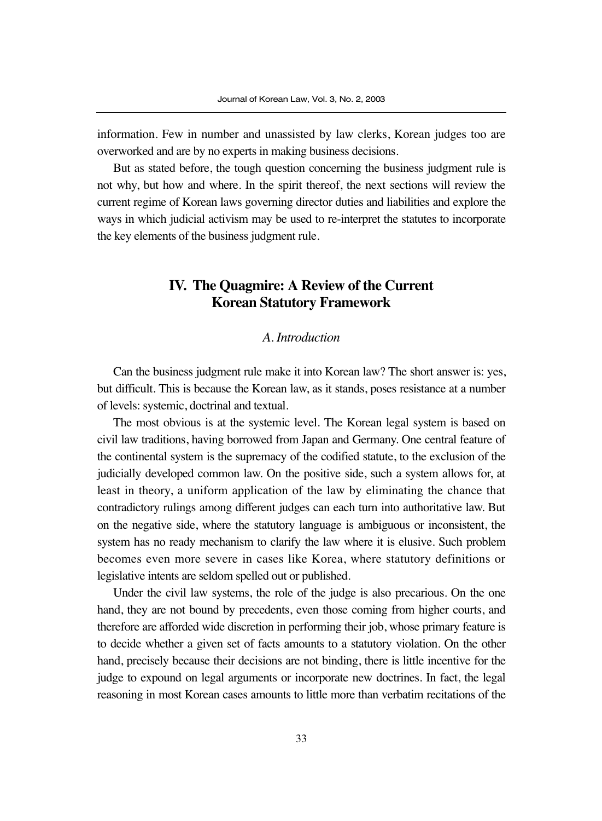information. Few in number and unassisted by law clerks, Korean judges too are overworked and are by no experts in making business decisions.

But as stated before, the tough question concerning the business judgment rule is not why, but how and where. In the spirit thereof, the next sections will review the current regime of Korean laws governing director duties and liabilities and explore the ways in which judicial activism may be used to re-interpret the statutes to incorporate the key elements of the business judgment rule.

# **IV. The Quagmire: A Review of the Current Korean Statutory Framework**

### *A. Introduction*

Can the business judgment rule make it into Korean law? The short answer is: yes, but difficult. This is because the Korean law, as it stands, poses resistance at a number of levels: systemic, doctrinal and textual.

The most obvious is at the systemic level. The Korean legal system is based on civil law traditions, having borrowed from Japan and Germany. One central feature of the continental system is the supremacy of the codified statute, to the exclusion of the judicially developed common law. On the positive side, such a system allows for, at least in theory, a uniform application of the law by eliminating the chance that contradictory rulings among different judges can each turn into authoritative law. But on the negative side, where the statutory language is ambiguous or inconsistent, the system has no ready mechanism to clarify the law where it is elusive. Such problem becomes even more severe in cases like Korea, where statutory definitions or legislative intents are seldom spelled out or published.

Under the civil law systems, the role of the judge is also precarious. On the one hand, they are not bound by precedents, even those coming from higher courts, and therefore are afforded wide discretion in performing their job, whose primary feature is to decide whether a given set of facts amounts to a statutory violation. On the other hand, precisely because their decisions are not binding, there is little incentive for the judge to expound on legal arguments or incorporate new doctrines. In fact, the legal reasoning in most Korean cases amounts to little more than verbatim recitations of the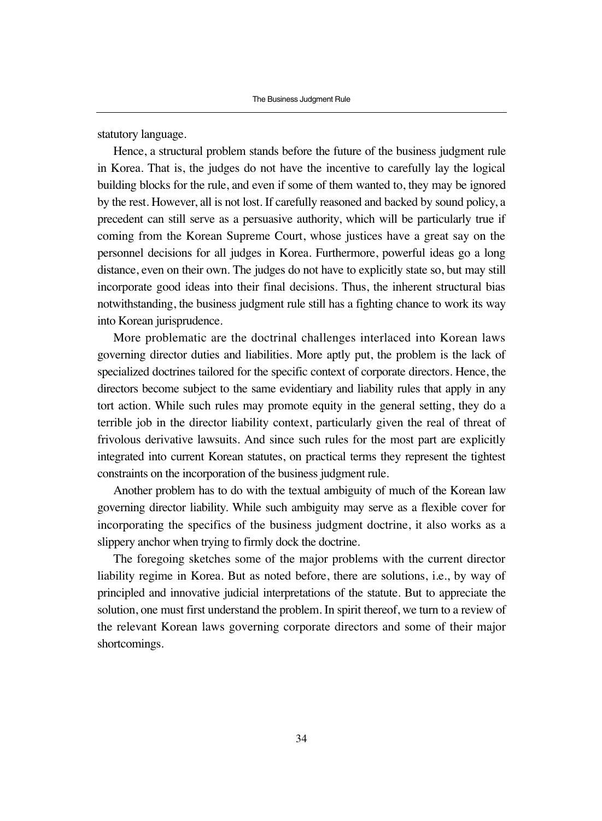statutory language.

Hence, a structural problem stands before the future of the business judgment rule in Korea. That is, the judges do not have the incentive to carefully lay the logical building blocks for the rule, and even if some of them wanted to, they may be ignored by the rest. However, all is not lost. If carefully reasoned and backed by sound policy, a precedent can still serve as a persuasive authority, which will be particularly true if coming from the Korean Supreme Court, whose justices have a great say on the personnel decisions for all judges in Korea. Furthermore, powerful ideas go a long distance, even on their own. The judges do not have to explicitly state so, but may still incorporate good ideas into their final decisions. Thus, the inherent structural bias notwithstanding, the business judgment rule still has a fighting chance to work its way into Korean jurisprudence.

More problematic are the doctrinal challenges interlaced into Korean laws governing director duties and liabilities. More aptly put, the problem is the lack of specialized doctrines tailored for the specific context of corporate directors. Hence, the directors become subject to the same evidentiary and liability rules that apply in any tort action. While such rules may promote equity in the general setting, they do a terrible job in the director liability context, particularly given the real of threat of frivolous derivative lawsuits. And since such rules for the most part are explicitly integrated into current Korean statutes, on practical terms they represent the tightest constraints on the incorporation of the business judgment rule.

Another problem has to do with the textual ambiguity of much of the Korean law governing director liability. While such ambiguity may serve as a flexible cover for incorporating the specifics of the business judgment doctrine, it also works as a slippery anchor when trying to firmly dock the doctrine.

The foregoing sketches some of the major problems with the current director liability regime in Korea. But as noted before, there are solutions, i.e., by way of principled and innovative judicial interpretations of the statute. But to appreciate the solution, one must first understand the problem. In spirit thereof, we turn to a review of the relevant Korean laws governing corporate directors and some of their major shortcomings.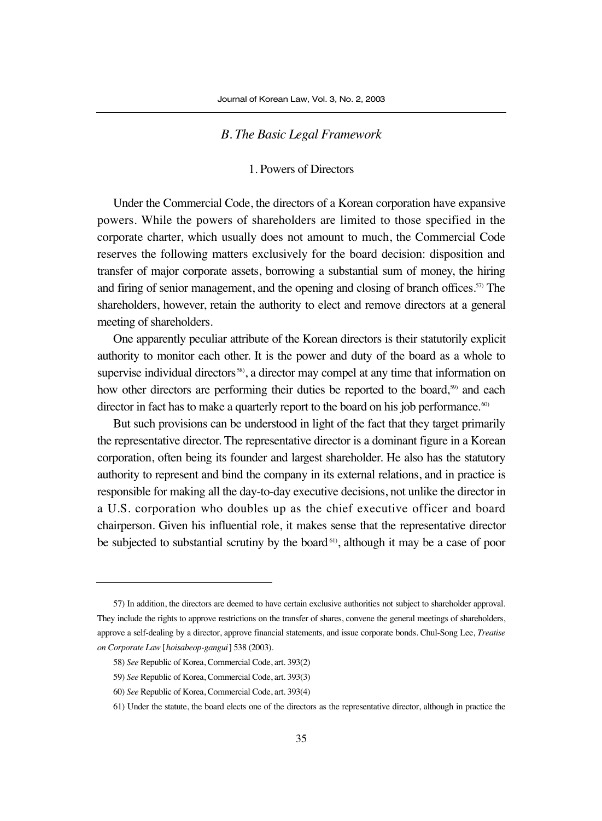#### *B. The Basic Legal Framework*

#### 1. Powers of Directors

Under the Commercial Code, the directors of a Korean corporation have expansive powers. While the powers of shareholders are limited to those specified in the corporate charter, which usually does not amount to much, the Commercial Code reserves the following matters exclusively for the board decision: disposition and transfer of major corporate assets, borrowing a substantial sum of money, the hiring and firing of senior management, and the opening and closing of branch offices.<sup>57)</sup> The shareholders, however, retain the authority to elect and remove directors at a general meeting of shareholders.

One apparently peculiar attribute of the Korean directors is their statutorily explicit authority to monitor each other. It is the power and duty of the board as a whole to supervise individual directors<sup>58)</sup>, a director may compel at any time that information on how other directors are performing their duties be reported to the board,<sup>59)</sup> and each director in fact has to make a quarterly report to the board on his job performance.<sup>60)</sup>

But such provisions can be understood in light of the fact that they target primarily the representative director. The representative director is a dominant figure in a Korean corporation, often being its founder and largest shareholder. He also has the statutory authority to represent and bind the company in its external relations, and in practice is responsible for making all the day-to-day executive decisions, not unlike the director in a U.S. corporation who doubles up as the chief executive officer and board chairperson. Given his influential role, it makes sense that the representative director be subjected to substantial scrutiny by the board<sup>61</sup>, although it may be a case of poor

<sup>57)</sup> In addition, the directors are deemed to have certain exclusive authorities not subject to shareholder approval. They include the rights to approve restrictions on the transfer of shares, convene the general meetings of shareholders, approve a self-dealing by a director, approve financial statements, and issue corporate bonds. Chul-Song Lee, *Treatise on Corporate Law* [*hoisabeop-gangui*] 538 (2003).

<sup>58)</sup> *See* Republic of Korea, Commercial Code, art. 393(2)

<sup>59)</sup> *See* Republic of Korea, Commercial Code, art. 393(3)

<sup>60)</sup> *See* Republic of Korea, Commercial Code, art. 393(4)

<sup>61)</sup> Under the statute, the board elects one of the directors as the representative director, although in practice the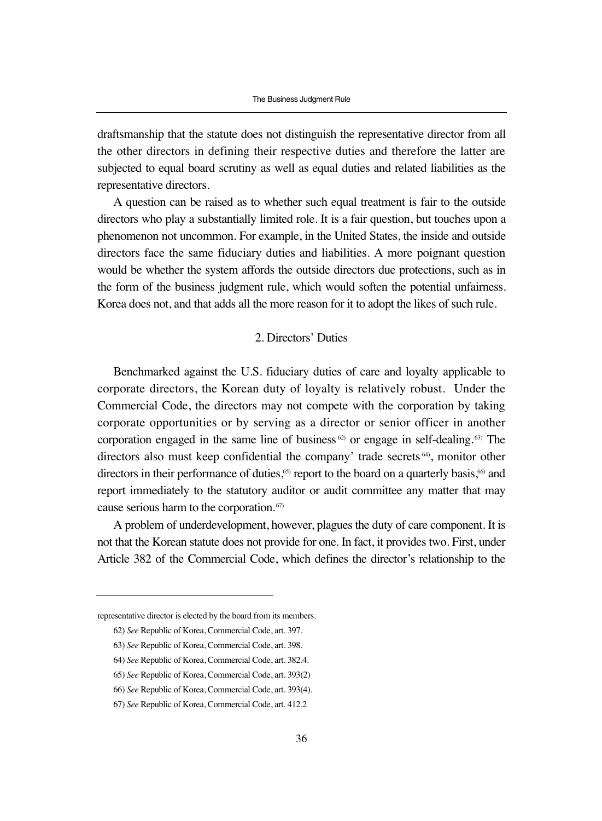draftsmanship that the statute does not distinguish the representative director from all the other directors in defining their respective duties and therefore the latter are subjected to equal board scrutiny as well as equal duties and related liabilities as the representative directors.

A question can be raised as to whether such equal treatment is fair to the outside directors who play a substantially limited role. It is a fair question, but touches upon a phenomenon not uncommon. For example, in the United States, the inside and outside directors face the same fiduciary duties and liabilities. A more poignant question would be whether the system affords the outside directors due protections, such as in the form of the business judgment rule, which would soften the potential unfairness. Korea does not, and that adds all the more reason for it to adopt the likes of such rule.

#### 2. Directors' Duties

Benchmarked against the U.S. fiduciary duties of care and loyalty applicable to corporate directors, the Korean duty of loyalty is relatively robust. Under the Commercial Code, the directors may not compete with the corporation by taking corporate opportunities or by serving as a director or senior officer in another corporation engaged in the same line of business  $62$  or engage in self-dealing.  $63$  The directors also must keep confidential the company' trade secrets 64), monitor other directors in their performance of duties,<sup>65)</sup> report to the board on a quarterly basis,<sup>66</sup> and report immediately to the statutory auditor or audit committee any matter that may cause serious harm to the corporation. 67)

A problem of underdevelopment, however, plagues the duty of care component. It is not that the Korean statute does not provide for one. In fact, it provides two. First, under Article 382 of the Commercial Code, which defines the director's relationship to the

representative director is elected by the board from its members.

<sup>62)</sup> *See* Republic of Korea, Commercial Code, art. 397.

<sup>63)</sup> *See* Republic of Korea, Commercial Code, art. 398.

<sup>64)</sup> *See* Republic of Korea, Commercial Code, art. 382.4.

<sup>65)</sup> *See* Republic of Korea, Commercial Code, art. 393(2)

<sup>66)</sup> *See* Republic of Korea, Commercial Code, art. 393(4).

<sup>67)</sup> *See* Republic of Korea, Commercial Code, art. 412.2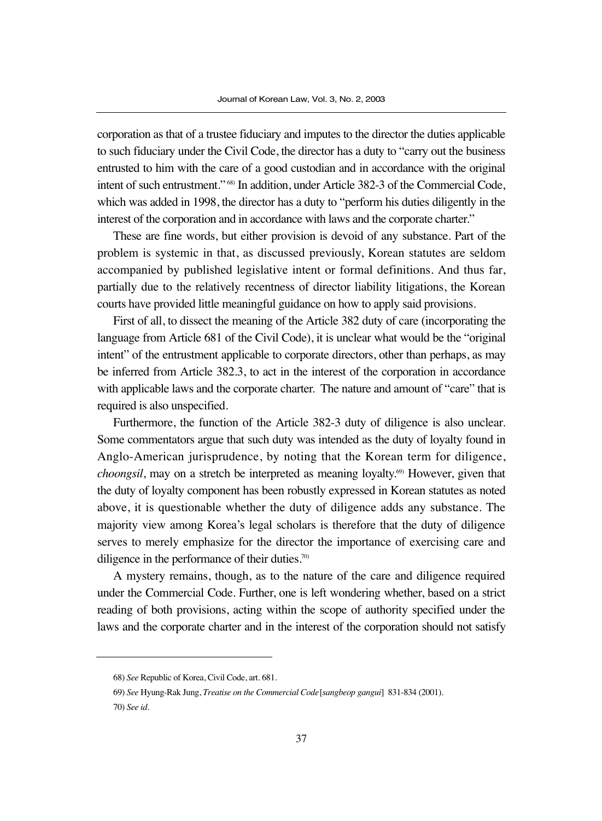corporation as that of a trustee fiduciary and imputes to the director the duties applicable to such fiduciary under the Civil Code, the director has a duty to "carry out the business entrusted to him with the care of a good custodian and in accordance with the original intent of such entrustment." 68) In addition, under Article 382-3 of the Commercial Code, which was added in 1998, the director has a duty to "perform his duties diligently in the interest of the corporation and in accordance with laws and the corporate charter."

These are fine words, but either provision is devoid of any substance. Part of the problem is systemic in that, as discussed previously, Korean statutes are seldom accompanied by published legislative intent or formal definitions. And thus far, partially due to the relatively recentness of director liability litigations, the Korean courts have provided little meaningful guidance on how to apply said provisions.

First of all, to dissect the meaning of the Article 382 duty of care (incorporating the language from Article 681 of the Civil Code), it is unclear what would be the "original intent" of the entrustment applicable to corporate directors, other than perhaps, as may be inferred from Article 382.3, to act in the interest of the corporation in accordance with applicable laws and the corporate charter. The nature and amount of "care" that is required is also unspecified.

Furthermore, the function of the Article 382-3 duty of diligence is also unclear. Some commentators argue that such duty was intended as the duty of loyalty found in Anglo-American jurisprudence, by noting that the Korean term for diligence, *choongsil*, may on a stretch be interpreted as meaning loyalty.<sup>69)</sup> However, given that the duty of loyalty component has been robustly expressed in Korean statutes as noted above, it is questionable whether the duty of diligence adds any substance. The majority view among Korea's legal scholars is therefore that the duty of diligence serves to merely emphasize for the director the importance of exercising care and diligence in the performance of their duties.<sup>70</sup>

A mystery remains, though, as to the nature of the care and diligence required under the Commercial Code. Further, one is left wondering whether, based on a strict reading of both provisions, acting within the scope of authority specified under the laws and the corporate charter and in the interest of the corporation should not satisfy

<sup>68)</sup> *See* Republic of Korea, Civil Code, art. 681.

<sup>69)</sup> *See* Hyung-Rak Jung, *Treatise on the Commercial Code*[*sangbeop gangui*] 831-834 (2001).

<sup>70)</sup> *See id*.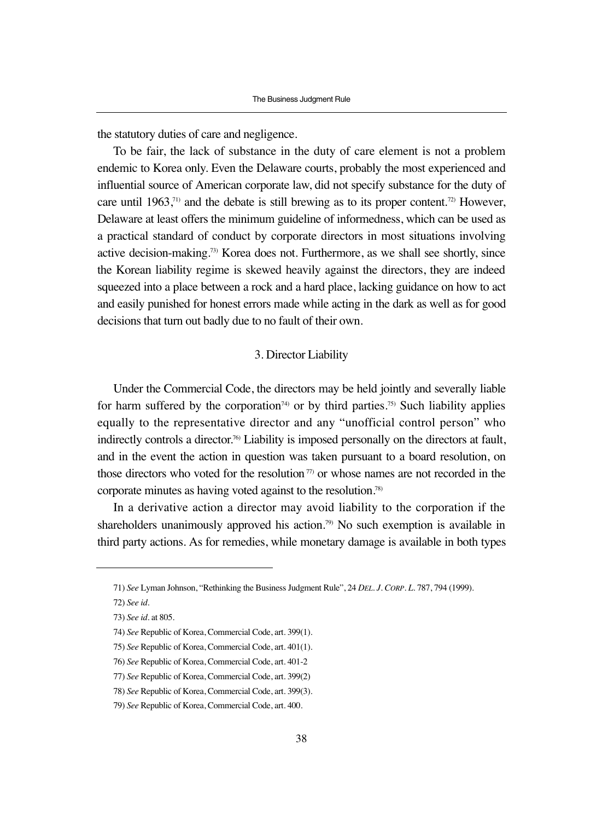the statutory duties of care and negligence.

To be fair, the lack of substance in the duty of care element is not a problem endemic to Korea only. Even the Delaware courts, probably the most experienced and influential source of American corporate law, did not specify substance for the duty of care until 1963,<sup>71)</sup> and the debate is still brewing as to its proper content.<sup>72)</sup> However, Delaware at least offers the minimum guideline of informedness, which can be used as a practical standard of conduct by corporate directors in most situations involving active decision-making.73) Korea does not. Furthermore, as we shall see shortly, since the Korean liability regime is skewed heavily against the directors, they are indeed squeezed into a place between a rock and a hard place, lacking guidance on how to act and easily punished for honest errors made while acting in the dark as well as for good decisions that turn out badly due to no fault of their own.

#### 3. Director Liability

Under the Commercial Code, the directors may be held jointly and severally liable for harm suffered by the corporation<sup> $74)$ </sup> or by third parties.<sup>75)</sup> Such liability applies equally to the representative director and any "unofficial control person" who indirectly controls a director.<sup>76</sup> Liability is imposed personally on the directors at fault, and in the event the action in question was taken pursuant to a board resolution, on those directors who voted for the resolution<sup> $77$ </sup> or whose names are not recorded in the corporate minutes as having voted against to the resolution.78)

In a derivative action a director may avoid liability to the corporation if the shareholders unanimously approved his action.<sup>79)</sup> No such exemption is available in third party actions. As for remedies, while monetary damage is available in both types

<sup>71)</sup> *See* Lyman Johnson, "Rethinking the Business Judgment Rule", 24 *DEL. J. CORP. L*. 787, 794 (1999).

<sup>72)</sup> *See id*.

<sup>73)</sup> *See id*. at 805.

<sup>74)</sup> *See* Republic of Korea, Commercial Code, art. 399(1).

<sup>75)</sup> *See* Republic of Korea, Commercial Code, art. 401(1).

<sup>76)</sup> *See* Republic of Korea, Commercial Code, art. 401-2

<sup>77)</sup> *See* Republic of Korea, Commercial Code, art. 399(2)

<sup>78)</sup> *See* Republic of Korea, Commercial Code, art. 399(3).

<sup>79)</sup> *See* Republic of Korea, Commercial Code, art. 400.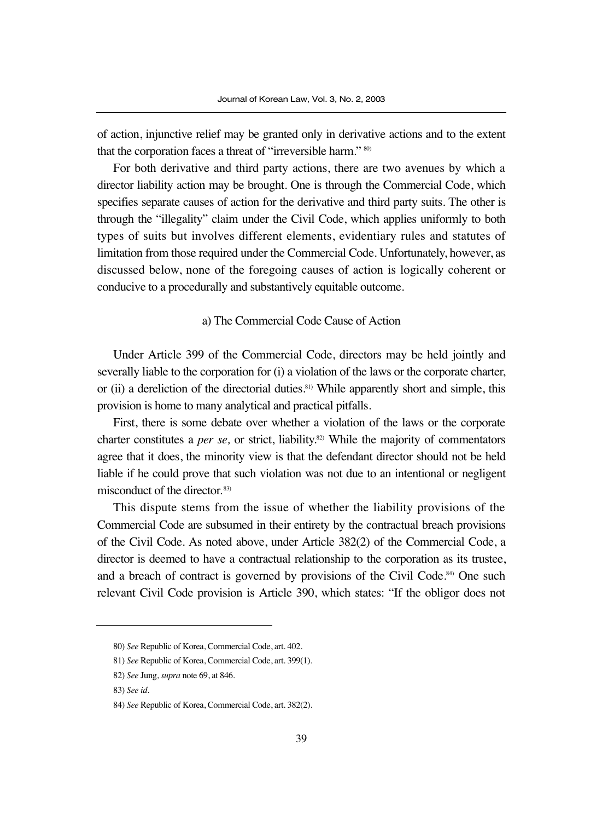of action, injunctive relief may be granted only in derivative actions and to the extent that the corporation faces a threat of "irreversible harm." 80)

For both derivative and third party actions, there are two avenues by which a director liability action may be brought. One is through the Commercial Code, which specifies separate causes of action for the derivative and third party suits. The other is through the "illegality" claim under the Civil Code, which applies uniformly to both types of suits but involves different elements, evidentiary rules and statutes of limitation from those required under the Commercial Code. Unfortunately, however, as discussed below, none of the foregoing causes of action is logically coherent or conducive to a procedurally and substantively equitable outcome.

#### a) The Commercial Code Cause of Action

Under Article 399 of the Commercial Code, directors may be held jointly and severally liable to the corporation for (i) a violation of the laws or the corporate charter, or (ii) a dereliction of the directorial duties.<sup>81)</sup> While apparently short and simple, this provision is home to many analytical and practical pitfalls.

First, there is some debate over whether a violation of the laws or the corporate charter constitutes a *per se,* or strict, liability.82) While the majority of commentators agree that it does, the minority view is that the defendant director should not be held liable if he could prove that such violation was not due to an intentional or negligent misconduct of the director. 83)

This dispute stems from the issue of whether the liability provisions of the Commercial Code are subsumed in their entirety by the contractual breach provisions of the Civil Code. As noted above, under Article 382(2) of the Commercial Code, a director is deemed to have a contractual relationship to the corporation as its trustee, and a breach of contract is governed by provisions of the Civil Code. $84$  One such relevant Civil Code provision is Article 390, which states: "If the obligor does not

<sup>80)</sup> *See* Republic of Korea, Commercial Code, art. 402.

<sup>81)</sup> *See* Republic of Korea, Commercial Code, art. 399(1).

<sup>82)</sup> *See* Jung, *supra* note 69, at 846.

<sup>83)</sup> *See id*.

<sup>84)</sup> *See* Republic of Korea, Commercial Code, art. 382(2).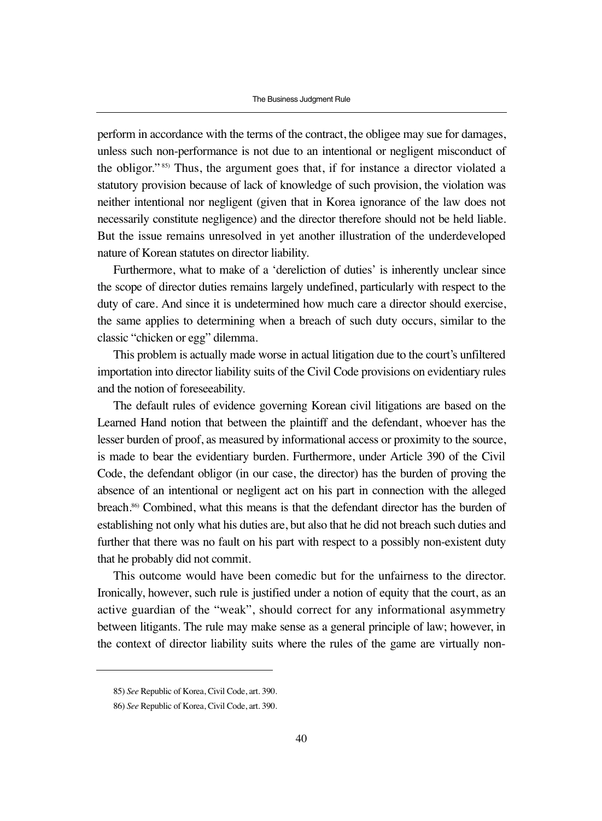perform in accordance with the terms of the contract, the obligee may sue for damages, unless such non-performance is not due to an intentional or negligent misconduct of the obligor." 85) Thus, the argument goes that, if for instance a director violated a statutory provision because of lack of knowledge of such provision, the violation was neither intentional nor negligent (given that in Korea ignorance of the law does not necessarily constitute negligence) and the director therefore should not be held liable. But the issue remains unresolved in yet another illustration of the underdeveloped nature of Korean statutes on director liability.

Furthermore, what to make of a 'dereliction of duties' is inherently unclear since the scope of director duties remains largely undefined, particularly with respect to the duty of care. And since it is undetermined how much care a director should exercise, the same applies to determining when a breach of such duty occurs, similar to the classic "chicken or egg" dilemma.

This problem is actually made worse in actual litigation due to the court's unfiltered importation into director liability suits of the Civil Code provisions on evidentiary rules and the notion of foreseeability.

The default rules of evidence governing Korean civil litigations are based on the Learned Hand notion that between the plaintiff and the defendant, whoever has the lesser burden of proof, as measured by informational access or proximity to the source, is made to bear the evidentiary burden. Furthermore, under Article 390 of the Civil Code, the defendant obligor (in our case, the director) has the burden of proving the absence of an intentional or negligent act on his part in connection with the alleged breach.86) Combined, what this means is that the defendant director has the burden of establishing not only what his duties are, but also that he did not breach such duties and further that there was no fault on his part with respect to a possibly non-existent duty that he probably did not commit.

This outcome would have been comedic but for the unfairness to the director. Ironically, however, such rule is justified under a notion of equity that the court, as an active guardian of the "weak", should correct for any informational asymmetry between litigants. The rule may make sense as a general principle of law; however, in the context of director liability suits where the rules of the game are virtually non-

<sup>85)</sup> *See* Republic of Korea, Civil Code, art. 390.

<sup>86)</sup> *See* Republic of Korea, Civil Code, art. 390.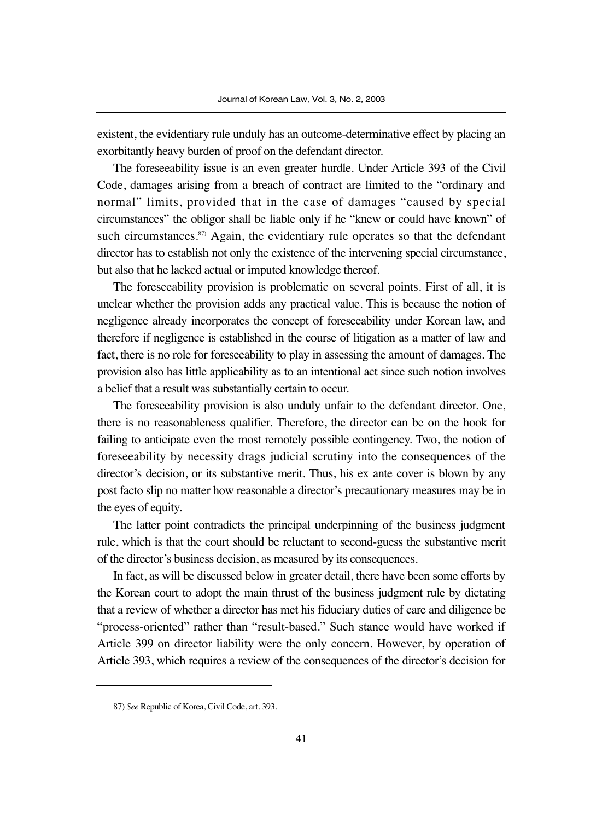existent, the evidentiary rule unduly has an outcome-determinative effect by placing an exorbitantly heavy burden of proof on the defendant director.

The foreseeability issue is an even greater hurdle. Under Article 393 of the Civil Code, damages arising from a breach of contract are limited to the "ordinary and normal" limits, provided that in the case of damages "caused by special circumstances" the obligor shall be liable only if he "knew or could have known" of such circumstances.<sup>87)</sup> Again, the evidentiary rule operates so that the defendant director has to establish not only the existence of the intervening special circumstance, but also that he lacked actual or imputed knowledge thereof.

The foreseeability provision is problematic on several points. First of all, it is unclear whether the provision adds any practical value. This is because the notion of negligence already incorporates the concept of foreseeability under Korean law, and therefore if negligence is established in the course of litigation as a matter of law and fact, there is no role for foreseeability to play in assessing the amount of damages. The provision also has little applicability as to an intentional act since such notion involves a belief that a result was substantially certain to occur.

The foreseeability provision is also unduly unfair to the defendant director. One, there is no reasonableness qualifier. Therefore, the director can be on the hook for failing to anticipate even the most remotely possible contingency. Two, the notion of foreseeability by necessity drags judicial scrutiny into the consequences of the director's decision, or its substantive merit. Thus, his ex ante cover is blown by any post facto slip no matter how reasonable a director's precautionary measures may be in the eyes of equity.

The latter point contradicts the principal underpinning of the business judgment rule, which is that the court should be reluctant to second-guess the substantive merit of the director's business decision, as measured by its consequences.

In fact, as will be discussed below in greater detail, there have been some efforts by the Korean court to adopt the main thrust of the business judgment rule by dictating that a review of whether a director has met his fiduciary duties of care and diligence be "process-oriented" rather than "result-based." Such stance would have worked if Article 399 on director liability were the only concern. However, by operation of Article 393, which requires a review of the consequences of the director's decision for

<sup>87)</sup> *See* Republic of Korea, Civil Code, art. 393.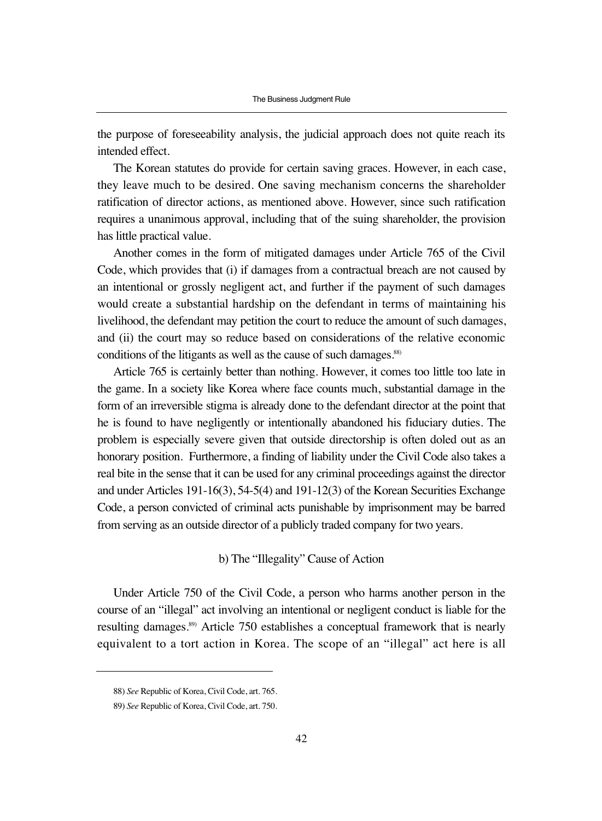the purpose of foreseeability analysis, the judicial approach does not quite reach its intended effect.

The Korean statutes do provide for certain saving graces. However, in each case, they leave much to be desired. One saving mechanism concerns the shareholder ratification of director actions, as mentioned above. However, since such ratification requires a unanimous approval, including that of the suing shareholder, the provision has little practical value.

Another comes in the form of mitigated damages under Article 765 of the Civil Code, which provides that (i) if damages from a contractual breach are not caused by an intentional or grossly negligent act, and further if the payment of such damages would create a substantial hardship on the defendant in terms of maintaining his livelihood, the defendant may petition the court to reduce the amount of such damages, and (ii) the court may so reduce based on considerations of the relative economic conditions of the litigants as well as the cause of such damages.<sup>88)</sup>

Article 765 is certainly better than nothing. However, it comes too little too late in the game. In a society like Korea where face counts much, substantial damage in the form of an irreversible stigma is already done to the defendant director at the point that he is found to have negligently or intentionally abandoned his fiduciary duties. The problem is especially severe given that outside directorship is often doled out as an honorary position. Furthermore, a finding of liability under the Civil Code also takes a real bite in the sense that it can be used for any criminal proceedings against the director and under Articles 191-16(3), 54-5(4) and 191-12(3) of the Korean Securities Exchange Code, a person convicted of criminal acts punishable by imprisonment may be barred from serving as an outside director of a publicly traded company for two years.

### b) The "Illegality" Cause of Action

Under Article 750 of the Civil Code, a person who harms another person in the course of an "illegal" act involving an intentional or negligent conduct is liable for the resulting damages.89) Article 750 establishes a conceptual framework that is nearly equivalent to a tort action in Korea. The scope of an "illegal" act here is all

<sup>88)</sup> *See* Republic of Korea, Civil Code, art. 765.

<sup>89)</sup> *See* Republic of Korea, Civil Code, art. 750.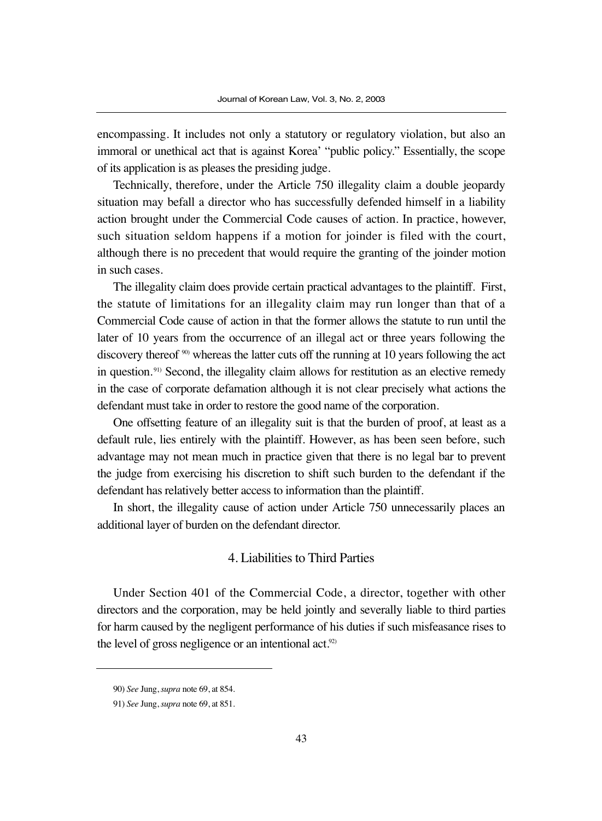encompassing. It includes not only a statutory or regulatory violation, but also an immoral or unethical act that is against Korea' "public policy." Essentially, the scope of its application is as pleases the presiding judge.

Technically, therefore, under the Article 750 illegality claim a double jeopardy situation may befall a director who has successfully defended himself in a liability action brought under the Commercial Code causes of action. In practice, however, such situation seldom happens if a motion for joinder is filed with the court, although there is no precedent that would require the granting of the joinder motion in such cases.

The illegality claim does provide certain practical advantages to the plaintiff. First, the statute of limitations for an illegality claim may run longer than that of a Commercial Code cause of action in that the former allows the statute to run until the later of 10 years from the occurrence of an illegal act or three years following the discovery thereof <sup>90</sup>) whereas the latter cuts off the running at 10 years following the act in question.<sup>91)</sup> Second, the illegality claim allows for restitution as an elective remedy in the case of corporate defamation although it is not clear precisely what actions the defendant must take in order to restore the good name of the corporation.

One offsetting feature of an illegality suit is that the burden of proof, at least as a default rule, lies entirely with the plaintiff. However, as has been seen before, such advantage may not mean much in practice given that there is no legal bar to prevent the judge from exercising his discretion to shift such burden to the defendant if the defendant has relatively better access to information than the plaintiff.

In short, the illegality cause of action under Article 750 unnecessarily places an additional layer of burden on the defendant director.

### 4. Liabilities to Third Parties

Under Section 401 of the Commercial Code, a director, together with other directors and the corporation, may be held jointly and severally liable to third parties for harm caused by the negligent performance of his duties if such misfeasance rises to the level of gross negligence or an intentional act. $92$ 

<sup>90)</sup> *See* Jung, *supra* note 69, at 854.

<sup>91)</sup> *See* Jung, *supra* note 69, at 851.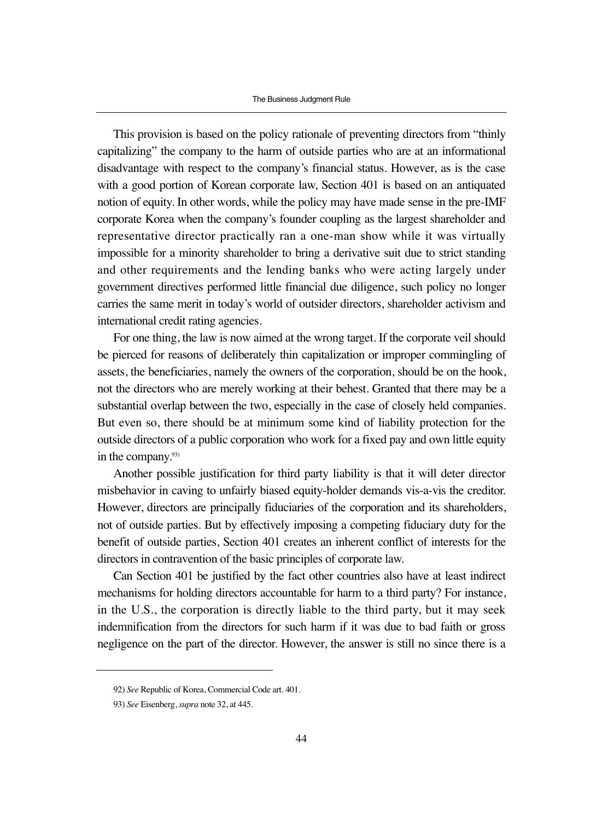This provision is based on the policy rationale of preventing directors from "thinly capitalizing" the company to the harm of outside parties who are at an informational disadvantage with respect to the company's financial status. However, as is the case with a good portion of Korean corporate law, Section 401 is based on an antiquated notion of equity. In other words, while the policy may have made sense in the pre-IMF corporate Korea when the company's founder coupling as the largest shareholder and representative director practically ran a one-man show while it was virtually impossible for a minority shareholder to bring a derivative suit due to strict standing and other requirements and the lending banks who were acting largely under government directives performed little financial due diligence, such policy no longer carries the same merit in today's world of outsider directors, shareholder activism and international credit rating agencies.

For one thing, the law is now aimed at the wrong target. If the corporate veil should be pierced for reasons of deliberately thin capitalization or improper commingling of assets, the beneficiaries, namely the owners of the corporation, should be on the hook, not the directors who are merely working at their behest. Granted that there may be a substantial overlap between the two, especially in the case of closely held companies. But even so, there should be at minimum some kind of liability protection for the outside directors of a public corporation who work for a fixed pay and own little equity in the company.<sup>93)</sup>

Another possible justification for third party liability is that it will deter director misbehavior in caving to unfairly biased equity-holder demands vis-a-vis the creditor. However, directors are principally fiduciaries of the corporation and its shareholders, not of outside parties. But by effectively imposing a competing fiduciary duty for the benefit of outside parties, Section 401 creates an inherent conflict of interests for the directors in contravention of the basic principles of corporate law.

Can Section 401 be justified by the fact other countries also have at least indirect mechanisms for holding directors accountable for harm to a third party? For instance, in the U.S., the corporation is directly liable to the third party, but it may seek indemnification from the directors for such harm if it was due to bad faith or gross negligence on the part of the director. However, the answer is still no since there is a

<sup>92)</sup> *See* Republic of Korea, Commercial Code art. 401.

<sup>93)</sup> *See* Eisenberg, *supra* note 32, at 445.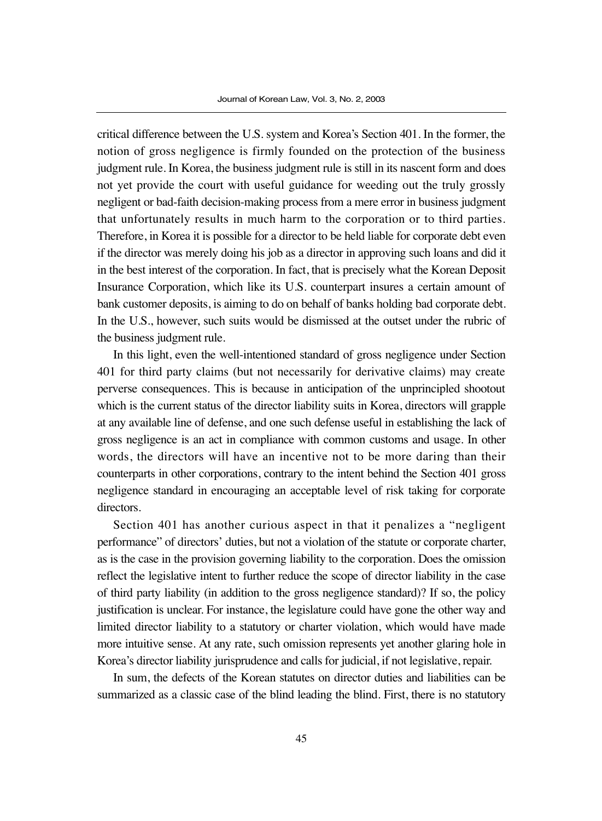critical difference between the U.S. system and Korea's Section 401. In the former, the notion of gross negligence is firmly founded on the protection of the business judgment rule. In Korea, the business judgment rule is still in its nascent form and does not yet provide the court with useful guidance for weeding out the truly grossly negligent or bad-faith decision-making process from a mere error in business judgment that unfortunately results in much harm to the corporation or to third parties. Therefore, in Korea it is possible for a director to be held liable for corporate debt even if the director was merely doing his job as a director in approving such loans and did it in the best interest of the corporation. In fact, that is precisely what the Korean Deposit Insurance Corporation, which like its U.S. counterpart insures a certain amount of bank customer deposits, is aiming to do on behalf of banks holding bad corporate debt. In the U.S., however, such suits would be dismissed at the outset under the rubric of the business judgment rule.

In this light, even the well-intentioned standard of gross negligence under Section 401 for third party claims (but not necessarily for derivative claims) may create perverse consequences. This is because in anticipation of the unprincipled shootout which is the current status of the director liability suits in Korea, directors will grapple at any available line of defense, and one such defense useful in establishing the lack of gross negligence is an act in compliance with common customs and usage. In other words, the directors will have an incentive not to be more daring than their counterparts in other corporations, contrary to the intent behind the Section 401 gross negligence standard in encouraging an acceptable level of risk taking for corporate directors.

Section 401 has another curious aspect in that it penalizes a "negligent performance" of directors' duties, but not a violation of the statute or corporate charter, as is the case in the provision governing liability to the corporation. Does the omission reflect the legislative intent to further reduce the scope of director liability in the case of third party liability (in addition to the gross negligence standard)? If so, the policy justification is unclear. For instance, the legislature could have gone the other way and limited director liability to a statutory or charter violation, which would have made more intuitive sense. At any rate, such omission represents yet another glaring hole in Korea's director liability jurisprudence and calls for judicial, if not legislative, repair.

In sum, the defects of the Korean statutes on director duties and liabilities can be summarized as a classic case of the blind leading the blind. First, there is no statutory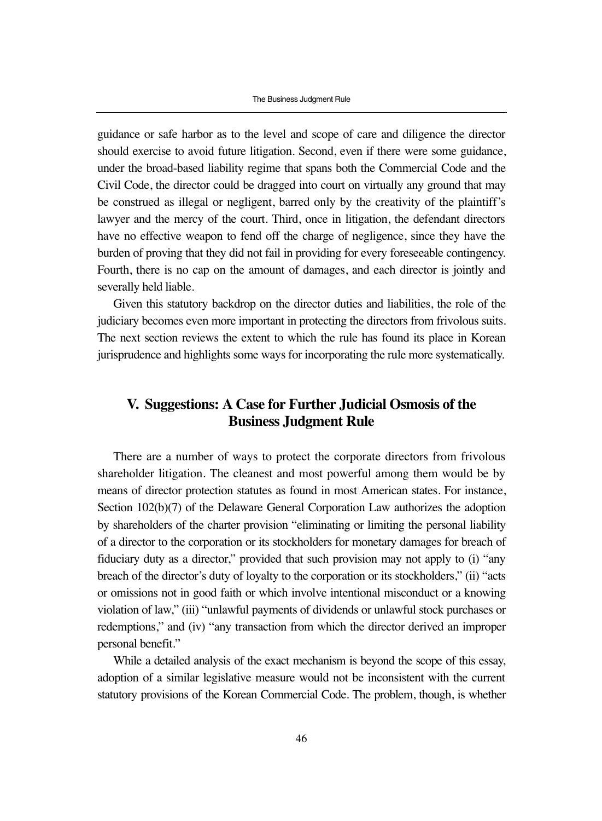guidance or safe harbor as to the level and scope of care and diligence the director should exercise to avoid future litigation. Second, even if there were some guidance, under the broad-based liability regime that spans both the Commercial Code and the Civil Code, the director could be dragged into court on virtually any ground that may be construed as illegal or negligent, barred only by the creativity of the plaintiff's lawyer and the mercy of the court. Third, once in litigation, the defendant directors have no effective weapon to fend off the charge of negligence, since they have the burden of proving that they did not fail in providing for every foreseeable contingency. Fourth, there is no cap on the amount of damages, and each director is jointly and severally held liable.

Given this statutory backdrop on the director duties and liabilities, the role of the judiciary becomes even more important in protecting the directors from frivolous suits. The next section reviews the extent to which the rule has found its place in Korean jurisprudence and highlights some ways for incorporating the rule more systematically.

# **V. Suggestions: A Case for Further Judicial Osmosis of the Business Judgment Rule**

There are a number of ways to protect the corporate directors from frivolous shareholder litigation. The cleanest and most powerful among them would be by means of director protection statutes as found in most American states. For instance, Section 102(b)(7) of the Delaware General Corporation Law authorizes the adoption by shareholders of the charter provision "eliminating or limiting the personal liability of a director to the corporation or its stockholders for monetary damages for breach of fiduciary duty as a director," provided that such provision may not apply to (i) "any breach of the director's duty of loyalty to the corporation or its stockholders," (ii) "acts or omissions not in good faith or which involve intentional misconduct or a knowing violation of law," (iii) "unlawful payments of dividends or unlawful stock purchases or redemptions," and (iv) "any transaction from which the director derived an improper personal benefit."

While a detailed analysis of the exact mechanism is beyond the scope of this essay, adoption of a similar legislative measure would not be inconsistent with the current statutory provisions of the Korean Commercial Code. The problem, though, is whether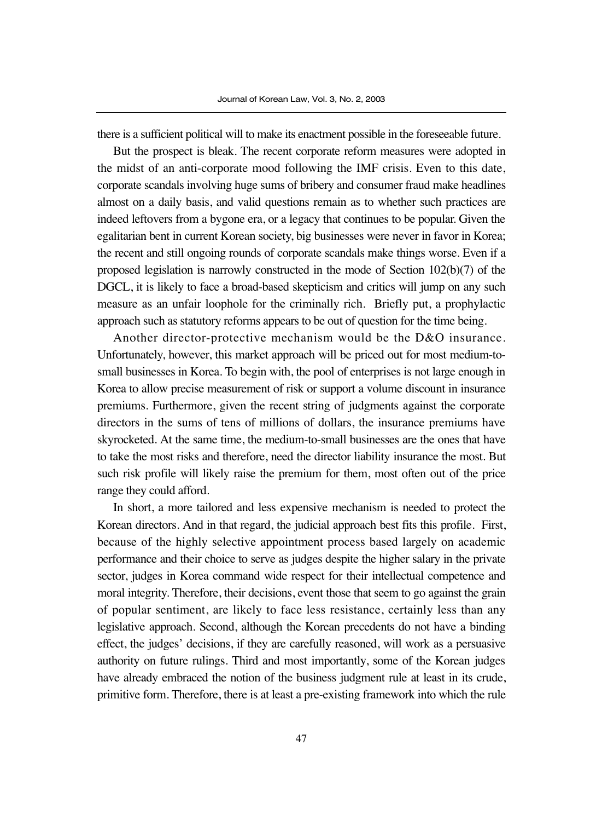there is a sufficient political will to make its enactment possible in the foreseeable future.

But the prospect is bleak. The recent corporate reform measures were adopted in the midst of an anti-corporate mood following the IMF crisis. Even to this date, corporate scandals involving huge sums of bribery and consumer fraud make headlines almost on a daily basis, and valid questions remain as to whether such practices are indeed leftovers from a bygone era, or a legacy that continues to be popular. Given the egalitarian bent in current Korean society, big businesses were never in favor in Korea; the recent and still ongoing rounds of corporate scandals make things worse. Even if a proposed legislation is narrowly constructed in the mode of Section 102(b)(7) of the DGCL, it is likely to face a broad-based skepticism and critics will jump on any such measure as an unfair loophole for the criminally rich. Briefly put, a prophylactic approach such as statutory reforms appears to be out of question for the time being.

Another director-protective mechanism would be the D&O insurance. Unfortunately, however, this market approach will be priced out for most medium-tosmall businesses in Korea. To begin with, the pool of enterprises is not large enough in Korea to allow precise measurement of risk or support a volume discount in insurance premiums. Furthermore, given the recent string of judgments against the corporate directors in the sums of tens of millions of dollars, the insurance premiums have skyrocketed. At the same time, the medium-to-small businesses are the ones that have to take the most risks and therefore, need the director liability insurance the most. But such risk profile will likely raise the premium for them, most often out of the price range they could afford.

In short, a more tailored and less expensive mechanism is needed to protect the Korean directors. And in that regard, the judicial approach best fits this profile. First, because of the highly selective appointment process based largely on academic performance and their choice to serve as judges despite the higher salary in the private sector, judges in Korea command wide respect for their intellectual competence and moral integrity. Therefore, their decisions, event those that seem to go against the grain of popular sentiment, are likely to face less resistance, certainly less than any legislative approach. Second, although the Korean precedents do not have a binding effect, the judges' decisions, if they are carefully reasoned, will work as a persuasive authority on future rulings. Third and most importantly, some of the Korean judges have already embraced the notion of the business judgment rule at least in its crude, primitive form. Therefore, there is at least a pre-existing framework into which the rule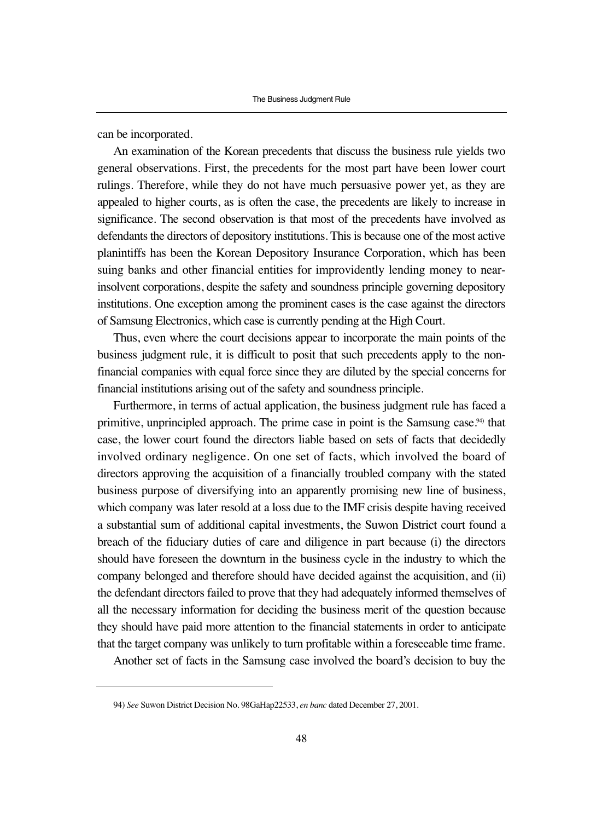can be incorporated.

An examination of the Korean precedents that discuss the business rule yields two general observations. First, the precedents for the most part have been lower court rulings. Therefore, while they do not have much persuasive power yet, as they are appealed to higher courts, as is often the case, the precedents are likely to increase in significance. The second observation is that most of the precedents have involved as defendants the directors of depository institutions. This is because one of the most active planintiffs has been the Korean Depository Insurance Corporation, which has been suing banks and other financial entities for improvidently lending money to nearinsolvent corporations, despite the safety and soundness principle governing depository institutions. One exception among the prominent cases is the case against the directors of Samsung Electronics, which case is currently pending at the High Court.

Thus, even where the court decisions appear to incorporate the main points of the business judgment rule, it is difficult to posit that such precedents apply to the nonfinancial companies with equal force since they are diluted by the special concerns for financial institutions arising out of the safety and soundness principle.

Furthermore, in terms of actual application, the business judgment rule has faced a primitive, unprincipled approach. The prime case in point is the Samsung case.<sup>94)</sup> that case, the lower court found the directors liable based on sets of facts that decidedly involved ordinary negligence. On one set of facts, which involved the board of directors approving the acquisition of a financially troubled company with the stated business purpose of diversifying into an apparently promising new line of business, which company was later resold at a loss due to the IMF crisis despite having received a substantial sum of additional capital investments, the Suwon District court found a breach of the fiduciary duties of care and diligence in part because (i) the directors should have foreseen the downturn in the business cycle in the industry to which the company belonged and therefore should have decided against the acquisition, and (ii) the defendant directors failed to prove that they had adequately informed themselves of all the necessary information for deciding the business merit of the question because they should have paid more attention to the financial statements in order to anticipate that the target company was unlikely to turn profitable within a foreseeable time frame.

Another set of facts in the Samsung case involved the board's decision to buy the

<sup>94)</sup> *See* Suwon District Decision No. 98GaHap22533, *en banc* dated December 27, 2001.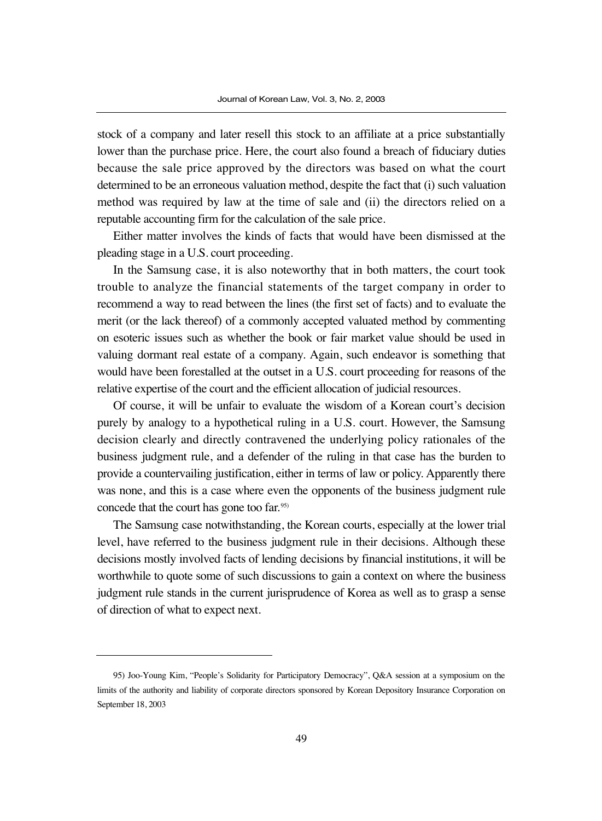stock of a company and later resell this stock to an affiliate at a price substantially lower than the purchase price. Here, the court also found a breach of fiduciary duties because the sale price approved by the directors was based on what the court determined to be an erroneous valuation method, despite the fact that (i) such valuation method was required by law at the time of sale and (ii) the directors relied on a reputable accounting firm for the calculation of the sale price.

Either matter involves the kinds of facts that would have been dismissed at the pleading stage in a U.S. court proceeding.

In the Samsung case, it is also noteworthy that in both matters, the court took trouble to analyze the financial statements of the target company in order to recommend a way to read between the lines (the first set of facts) and to evaluate the merit (or the lack thereof) of a commonly accepted valuated method by commenting on esoteric issues such as whether the book or fair market value should be used in valuing dormant real estate of a company. Again, such endeavor is something that would have been forestalled at the outset in a U.S. court proceeding for reasons of the relative expertise of the court and the efficient allocation of judicial resources.

Of course, it will be unfair to evaluate the wisdom of a Korean court's decision purely by analogy to a hypothetical ruling in a U.S. court. However, the Samsung decision clearly and directly contravened the underlying policy rationales of the business judgment rule, and a defender of the ruling in that case has the burden to provide a countervailing justification, either in terms of law or policy. Apparently there was none, and this is a case where even the opponents of the business judgment rule concede that the court has gone too far. 95)

The Samsung case notwithstanding, the Korean courts, especially at the lower trial level, have referred to the business judgment rule in their decisions. Although these decisions mostly involved facts of lending decisions by financial institutions, it will be worthwhile to quote some of such discussions to gain a context on where the business judgment rule stands in the current jurisprudence of Korea as well as to grasp a sense of direction of what to expect next.

<sup>95)</sup> Joo-Young Kim, "People's Solidarity for Participatory Democracy", Q&A session at a symposium on the limits of the authority and liability of corporate directors sponsored by Korean Depository Insurance Corporation on September 18, 2003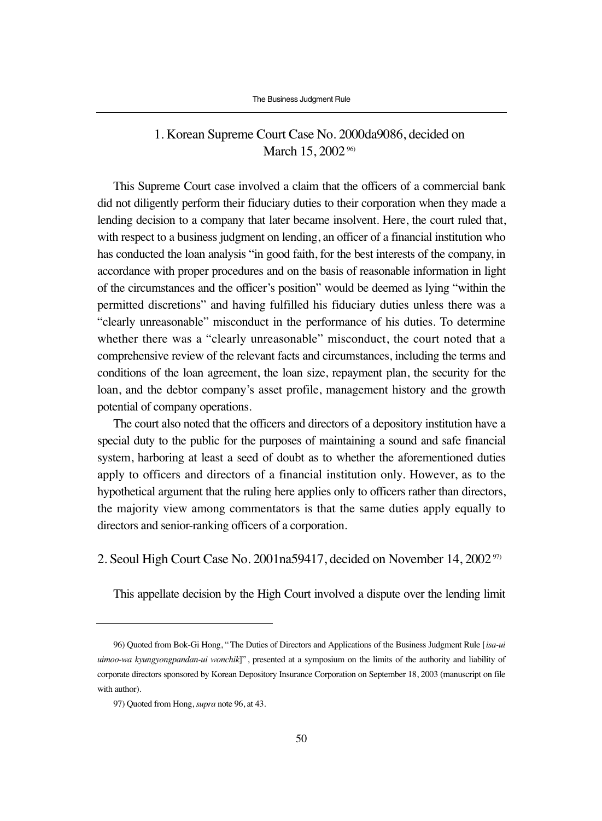### 1. Korean Supreme Court Case No. 2000da9086, decided on March 15, 2002<sup>96)</sup>

This Supreme Court case involved a claim that the officers of a commercial bank did not diligently perform their fiduciary duties to their corporation when they made a lending decision to a company that later became insolvent. Here, the court ruled that, with respect to a business judgment on lending, an officer of a financial institution who has conducted the loan analysis "in good faith, for the best interests of the company, in accordance with proper procedures and on the basis of reasonable information in light of the circumstances and the officer's position" would be deemed as lying "within the permitted discretions" and having fulfilled his fiduciary duties unless there was a "clearly unreasonable" misconduct in the performance of his duties. To determine whether there was a "clearly unreasonable" misconduct, the court noted that a comprehensive review of the relevant facts and circumstances, including the terms and conditions of the loan agreement, the loan size, repayment plan, the security for the loan, and the debtor company's asset profile, management history and the growth potential of company operations.

The court also noted that the officers and directors of a depository institution have a special duty to the public for the purposes of maintaining a sound and safe financial system, harboring at least a seed of doubt as to whether the aforementioned duties apply to officers and directors of a financial institution only. However, as to the hypothetical argument that the ruling here applies only to officers rather than directors, the majority view among commentators is that the same duties apply equally to directors and senior-ranking officers of a corporation.

2. Seoul High Court Case No. 2001na59417, decided on November 14, 2002<sup>97)</sup>

This appellate decision by the High Court involved a dispute over the lending limit

<sup>96)</sup> Quoted from Bok-Gi Hong, "The Duties of Directors and Applications of the Business Judgment Rule [*isa-ui uimoo-wa kyungyongpandan-ui wonchik*]" , presented at a symposium on the limits of the authority and liability of corporate directors sponsored by Korean Depository Insurance Corporation on September 18, 2003 (manuscript on file with author).

<sup>97)</sup> Quoted from Hong, *supra* note 96, at 43.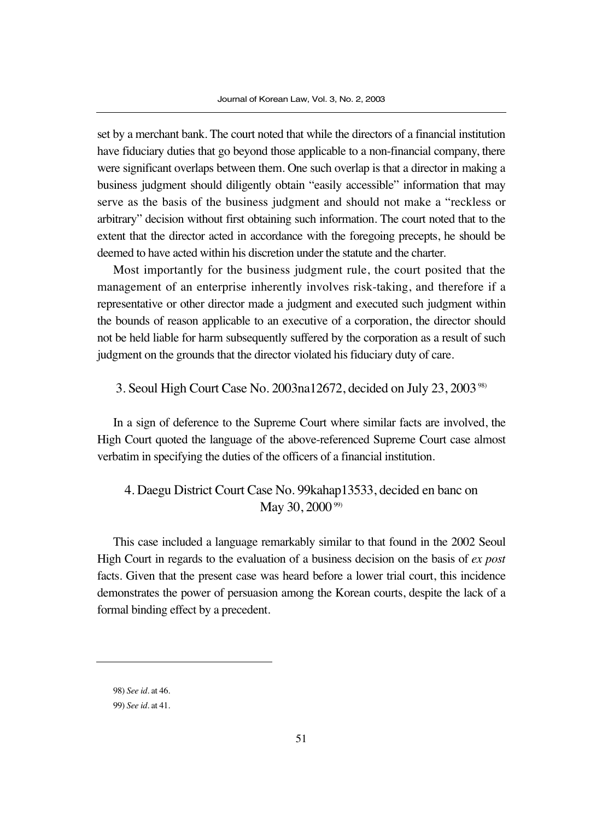set by a merchant bank. The court noted that while the directors of a financial institution have fiduciary duties that go beyond those applicable to a non-financial company, there were significant overlaps between them. One such overlap is that a director in making a business judgment should diligently obtain "easily accessible" information that may serve as the basis of the business judgment and should not make a "reckless or arbitrary" decision without first obtaining such information. The court noted that to the extent that the director acted in accordance with the foregoing precepts, he should be deemed to have acted within his discretion under the statute and the charter.

Most importantly for the business judgment rule, the court posited that the management of an enterprise inherently involves risk-taking, and therefore if a representative or other director made a judgment and executed such judgment within the bounds of reason applicable to an executive of a corporation, the director should not be held liable for harm subsequently suffered by the corporation as a result of such judgment on the grounds that the director violated his fiduciary duty of care.

3. Seoul High Court Case No. 2003na12672, decided on July 23, 200398)

In a sign of deference to the Supreme Court where similar facts are involved, the High Court quoted the language of the above-referenced Supreme Court case almost verbatim in specifying the duties of the officers of a financial institution.

# 4. Daegu District Court Case No. 99kahap13533, decided en banc on May 30, 2000<sup>99)</sup>

This case included a language remarkably similar to that found in the 2002 Seoul High Court in regards to the evaluation of a business decision on the basis of *ex post* facts. Given that the present case was heard before a lower trial court, this incidence demonstrates the power of persuasion among the Korean courts, despite the lack of a formal binding effect by a precedent.

<sup>98)</sup> *See id*. at 46.

<sup>99)</sup> *See id*. at 41.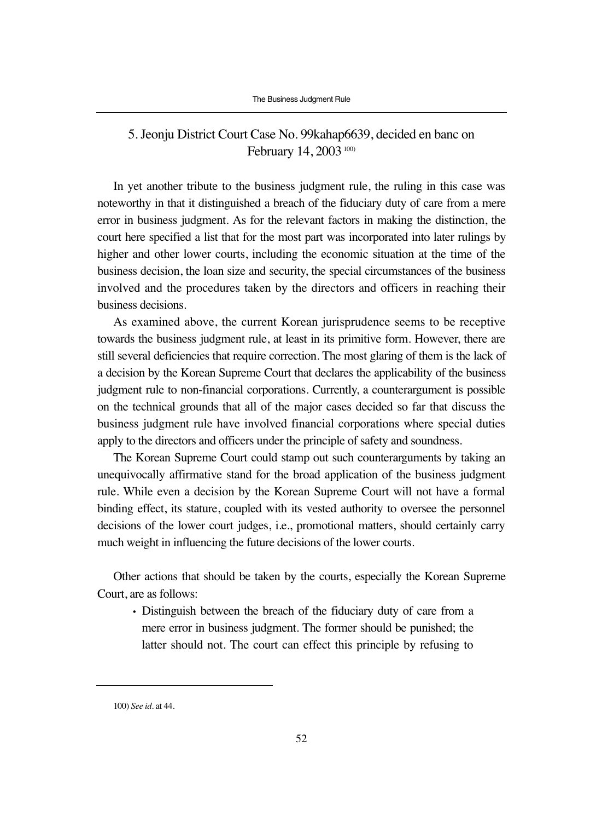## 5. Jeonju District Court Case No. 99kahap6639, decided en banc on February 14, 2003<sup>100)</sup>

In yet another tribute to the business judgment rule, the ruling in this case was noteworthy in that it distinguished a breach of the fiduciary duty of care from a mere error in business judgment. As for the relevant factors in making the distinction, the court here specified a list that for the most part was incorporated into later rulings by higher and other lower courts, including the economic situation at the time of the business decision, the loan size and security, the special circumstances of the business involved and the procedures taken by the directors and officers in reaching their business decisions.

As examined above, the current Korean jurisprudence seems to be receptive towards the business judgment rule, at least in its primitive form. However, there are still several deficiencies that require correction. The most glaring of them is the lack of a decision by the Korean Supreme Court that declares the applicability of the business judgment rule to non-financial corporations. Currently, a counterargument is possible on the technical grounds that all of the major cases decided so far that discuss the business judgment rule have involved financial corporations where special duties apply to the directors and officers under the principle of safety and soundness.

The Korean Supreme Court could stamp out such counterarguments by taking an unequivocally affirmative stand for the broad application of the business judgment rule. While even a decision by the Korean Supreme Court will not have a formal binding effect, its stature, coupled with its vested authority to oversee the personnel decisions of the lower court judges, i.e., promotional matters, should certainly carry much weight in influencing the future decisions of the lower courts.

Other actions that should be taken by the courts, especially the Korean Supreme Court, are as follows:

• Distinguish between the breach of the fiduciary duty of care from a mere error in business judgment. The former should be punished; the latter should not. The court can effect this principle by refusing to

<sup>100)</sup> *See id*. at 44.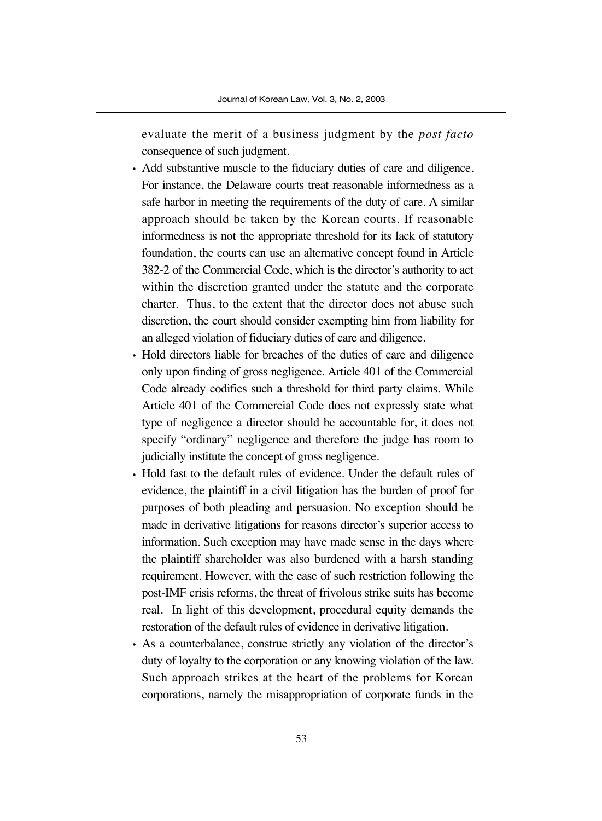evaluate the merit of a business judgment by the *post facto* consequence of such judgment.

- Add substantive muscle to the fiduciary duties of care and diligence. For instance, the Delaware courts treat reasonable informedness as a safe harbor in meeting the requirements of the duty of care. A similar approach should be taken by the Korean courts. If reasonable informedness is not the appropriate threshold for its lack of statutory foundation, the courts can use an alternative concept found in Article 382-2 of the Commercial Code, which is the director's authority to act within the discretion granted under the statute and the corporate charter. Thus, to the extent that the director does not abuse such discretion, the court should consider exempting him from liability for an alleged violation of fiduciary duties of care and diligence.
- Hold directors liable for breaches of the duties of care and diligence only upon finding of gross negligence. Article 401 of the Commercial Code already codifies such a threshold for third party claims. While Article 401 of the Commercial Code does not expressly state what type of negligence a director should be accountable for, it does not specify "ordinary" negligence and therefore the judge has room to judicially institute the concept of gross negligence.
- Hold fast to the default rules of evidence. Under the default rules of evidence, the plaintiff in a civil litigation has the burden of proof for purposes of both pleading and persuasion. No exception should be made in derivative litigations for reasons director's superior access to information. Such exception may have made sense in the days where the plaintiff shareholder was also burdened with a harsh standing requirement. However, with the ease of such restriction following the post-IMF crisis reforms, the threat of frivolous strike suits has become real. In light of this development, procedural equity demands the restoration of the default rules of evidence in derivative litigation.
- As a counterbalance, construe strictly any violation of the director's duty of loyalty to the corporation or any knowing violation of the law. Such approach strikes at the heart of the problems for Korean corporations, namely the misappropriation of corporate funds in the